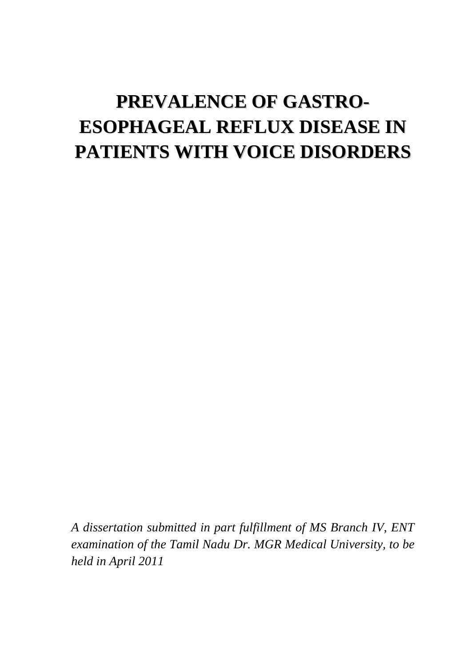# **PREVALENCE OF GASTRO-ESOPHAGEAL REFLUX DISEASE IN PATIENTS WITH VOICE DISORDERS**

*A dissertation submitted in part fulfillment of MS Branch IV, ENT examination of the Tamil Nadu Dr. MGR Medical University, to be held in April 2011*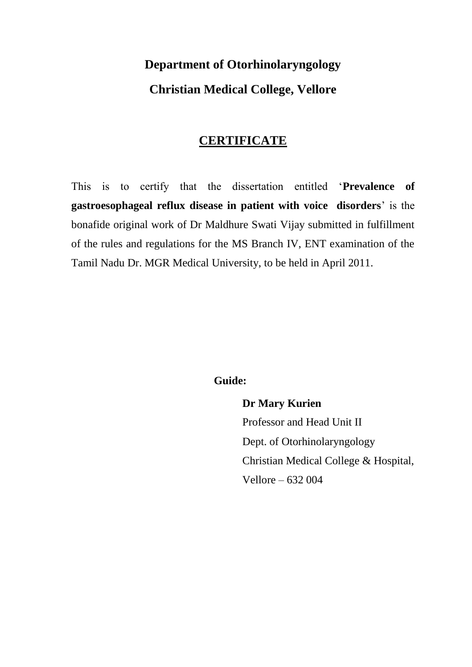# **Department of Otorhinolaryngology Christian Medical College, Vellore**

# **CERTIFICATE**

This is to certify that the dissertation entitled "**Prevalence of gastroesophageal reflux disease in patient with voice disorders**" is the bonafide original work of Dr Maldhure Swati Vijay submitted in fulfillment of the rules and regulations for the MS Branch IV, ENT examination of the Tamil Nadu Dr. MGR Medical University, to be held in April 2011.

# **Guide:**

**Dr Mary Kurien** Professor and Head Unit II Dept. of Otorhinolaryngology Christian Medical College & Hospital, Vellore – 632 004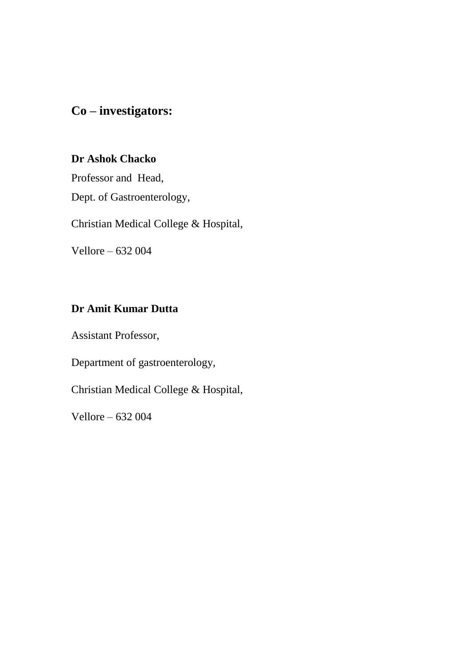# **Co – investigators:**

# **Dr Ashok Chacko**

Professor and Head, Dept. of Gastroenterology,

Christian Medical College & Hospital,

Vellore – 632 004

# **Dr Amit Kumar Dutta**

Assistant Professor,

Department of gastroenterology,

Christian Medical College & Hospital,

Vellore – 632 004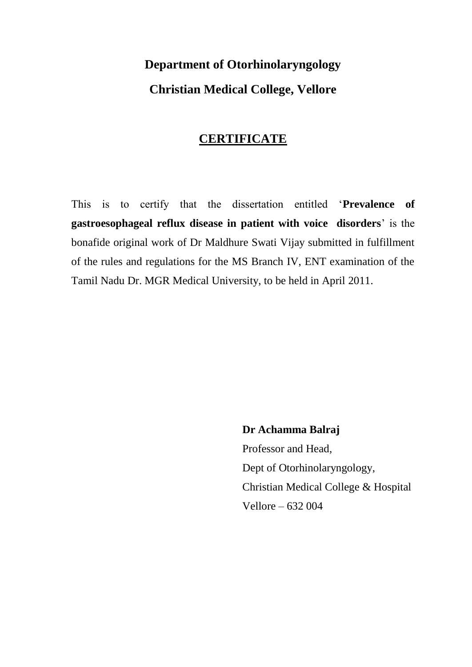# **Department of Otorhinolaryngology Christian Medical College, Vellore**

# **CERTIFICATE**

This is to certify that the dissertation entitled "**Prevalence of gastroesophageal reflux disease in patient with voice disorders**" is the bonafide original work of Dr Maldhure Swati Vijay submitted in fulfillment of the rules and regulations for the MS Branch IV, ENT examination of the Tamil Nadu Dr. MGR Medical University, to be held in April 2011.

> **Dr Achamma Balraj**  Professor and Head, Dept of Otorhinolaryngology, Christian Medical College & Hospital Vellore – 632 004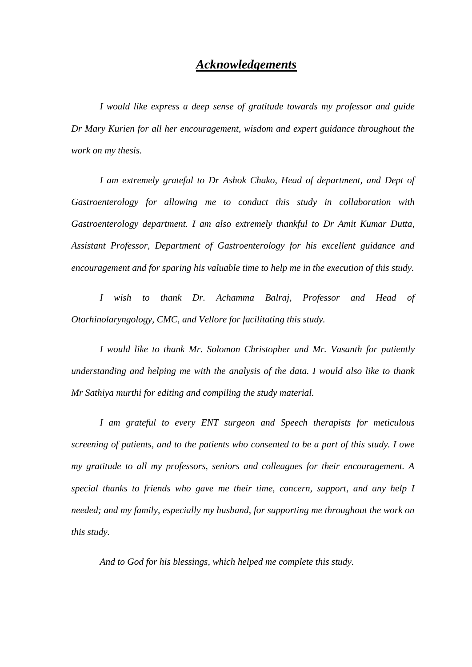### *Acknowledgements*

*I would like express a deep sense of gratitude towards my professor and guide Dr Mary Kurien for all her encouragement, wisdom and expert guidance throughout the work on my thesis.*

*I am extremely grateful to Dr Ashok Chako, Head of department, and Dept of Gastroenterology for allowing me to conduct this study in collaboration with Gastroenterology department. I am also extremely thankful to Dr Amit Kumar Dutta*, *Assistant Professor, Department of Gastroenterology for his excellent guidance and encouragement and for sparing his valuable time to help me in the execution of this study.*

*I wish to thank Dr. Achamma Balraj, Professor and Head of Otorhinolaryngology, CMC, and Vellore for facilitating this study.*

*I would like to thank Mr. Solomon Christopher and Mr. Vasanth for patiently understanding and helping me with the analysis of the data. I would also like to thank Mr Sathiya murthi for editing and compiling the study material.*

*I am grateful to every ENT surgeon and Speech therapists for meticulous screening of patients, and to the patients who consented to be a part of this study. I owe my gratitude to all my professors, seniors and colleagues for their encouragement. A special thanks to friends who gave me their time, concern, support, and any help I needed; and my family, especially my husband, for supporting me throughout the work on this study.* 

*And to God for his blessings, which helped me complete this study.*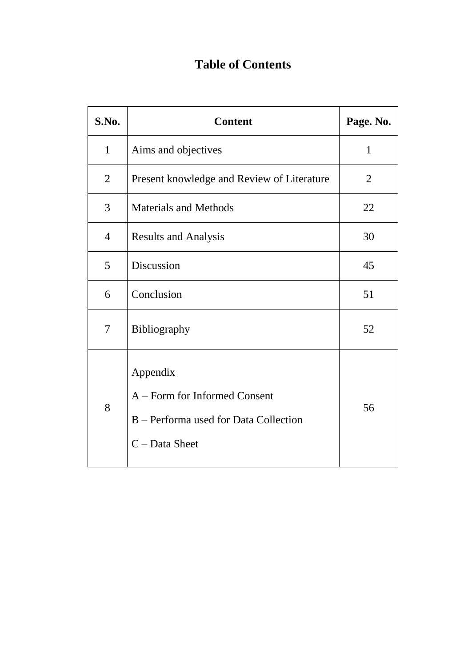# **Table of Contents**

| S.No.          | <b>Content</b>                                                                                         | Page. No.      |
|----------------|--------------------------------------------------------------------------------------------------------|----------------|
| $\mathbf{1}$   | Aims and objectives                                                                                    | $\mathbf{1}$   |
| $\overline{2}$ | Present knowledge and Review of Literature                                                             | $\overline{2}$ |
| 3              | <b>Materials and Methods</b>                                                                           | 22             |
| $\overline{4}$ | <b>Results and Analysis</b>                                                                            | 30             |
| 5              | Discussion                                                                                             | 45             |
| 6              | Conclusion                                                                                             | 51             |
| $\tau$         | Bibliography                                                                                           | 52             |
| 8              | Appendix<br>A - Form for Informed Consent<br>B – Performa used for Data Collection<br>$C$ – Data Sheet | 56             |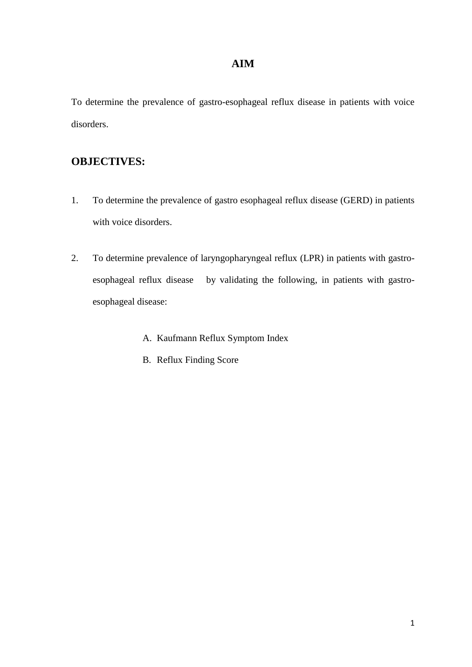# **AIM**

To determine the prevalence of gastro-esophageal reflux disease in patients with voice disorders.

# **OBJECTIVES:**

- 1. To determine the prevalence of gastro esophageal reflux disease (GERD) in patients with voice disorders.
- 2. To determine prevalence of laryngopharyngeal reflux (LPR) in patients with gastroesophageal reflux disease by validating the following, in patients with gastroesophageal disease:
	- A. Kaufmann Reflux Symptom Index
	- B. Reflux Finding Score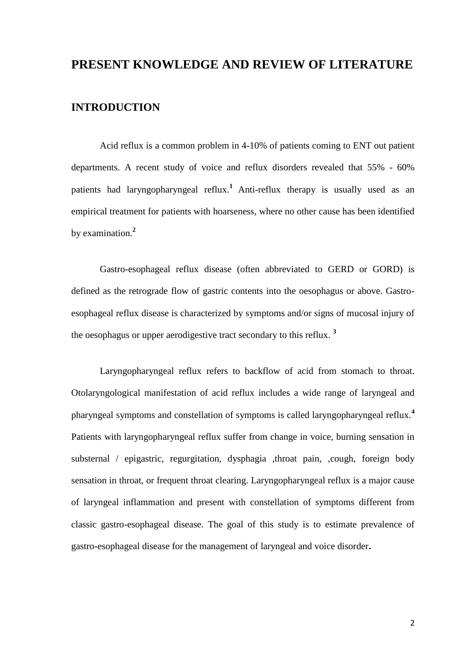# **PRESENT KNOWLEDGE AND REVIEW OF LITERATURE**

### **INTRODUCTION**

Acid reflux is a common problem in 4-10% of patients coming to ENT out patient departments. A recent study of voice and reflux disorders revealed that 55% - 60% patients had laryngopharyngeal reflux.**<sup>1</sup>** Anti-reflux therapy is usually used as an empirical treatment for patients with hoarseness, where no other cause has been identified by examination.**<sup>2</sup>**

Gastro-esophageal reflux disease (often abbreviated to GERD or GORD) is defined as the retrograde flow of gastric contents into the oesophagus or above. Gastroesophageal reflux disease is characterized by symptoms and/or signs of mucosal injury of the oesophagus or upper aerodigestive tract secondary to this reflux. **3**

Laryngopharyngeal reflux refers to backflow of acid from stomach to throat. Otolaryngological manifestation of acid reflux includes a wide range of laryngeal and pharyngeal symptoms and constellation of symptoms is called laryngopharyngeal reflux.**<sup>4</sup>** Patients with laryngopharyngeal reflux suffer from change in voice, burning sensation in substernal / epigastric, regurgitation, dysphagia ,throat pain, ,cough, foreign body sensation in throat, or frequent throat clearing. Laryngopharyngeal reflux is a major cause of laryngeal inflammation and present with constellation of symptoms different from classic gastro-esophageal disease. The goal of this study is to estimate prevalence of gastro-esophageal disease for the management of laryngeal and voice disorder**.**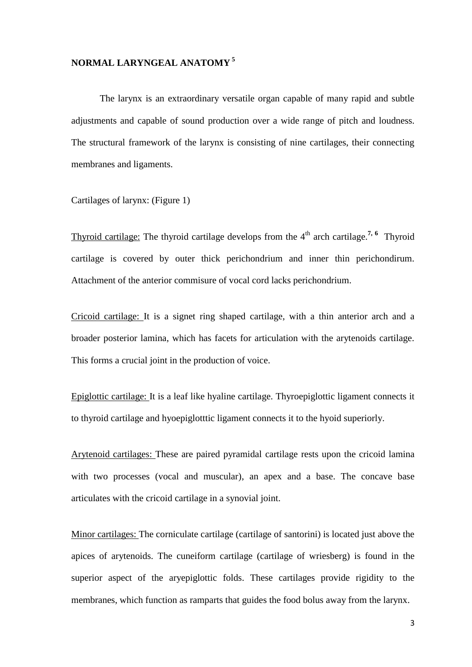### **NORMAL LARYNGEAL ANATOMY <sup>5</sup>**

The larynx is an extraordinary versatile organ capable of many rapid and subtle adjustments and capable of sound production over a wide range of pitch and loudness. The structural framework of the larynx is consisting of nine cartilages, their connecting membranes and ligaments.

Cartilages of larynx: (Figure 1)

Thyroid cartilage: The thyroid cartilage develops from the 4<sup>th</sup> arch cartilage.<sup>7, 6</sup> Thyroid cartilage is covered by outer thick perichondrium and inner thin perichondirum. Attachment of the anterior commisure of vocal cord lacks perichondrium.

Cricoid cartilage: It is a signet ring shaped cartilage, with a thin anterior arch and a broader posterior lamina, which has facets for articulation with the arytenoids cartilage. This forms a crucial joint in the production of voice.

Epiglottic cartilage: It is a leaf like hyaline cartilage. Thyroepiglottic ligament connects it to thyroid cartilage and hyoepiglotttic ligament connects it to the hyoid superiorly.

Arytenoid cartilages: These are paired pyramidal cartilage rests upon the cricoid lamina with two processes (vocal and muscular), an apex and a base. The concave base articulates with the cricoid cartilage in a synovial joint.

Minor cartilages: The corniculate cartilage (cartilage of santorini) is located just above the apices of arytenoids. The cuneiform cartilage (cartilage of wriesberg) is found in the superior aspect of the aryepiglottic folds. These cartilages provide rigidity to the membranes, which function as ramparts that guides the food bolus away from the larynx.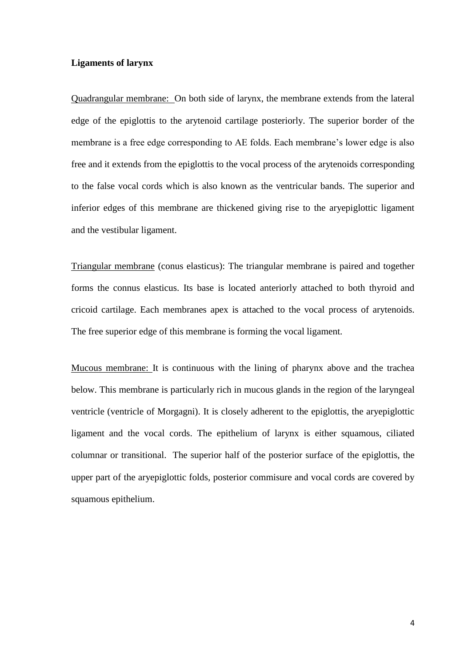### **Ligaments of larynx**

Quadrangular membrane: On both side of larynx, the membrane extends from the lateral edge of the epiglottis to the arytenoid cartilage posteriorly. The superior border of the membrane is a free edge corresponding to AE folds. Each membrane's lower edge is also free and it extends from the epiglottis to the vocal process of the arytenoids corresponding to the false vocal cords which is also known as the ventricular bands. The superior and inferior edges of this membrane are thickened giving rise to the aryepiglottic ligament and the vestibular ligament.

Triangular membrane (conus elasticus): The triangular membrane is paired and together forms the connus elasticus. Its base is located anteriorly attached to both thyroid and cricoid cartilage. Each membranes apex is attached to the vocal process of arytenoids. The free superior edge of this membrane is forming the vocal ligament.

Mucous membrane: It is continuous with the lining of pharynx above and the trachea below. This membrane is particularly rich in mucous glands in the region of the laryngeal ventricle (ventricle of Morgagni). It is closely adherent to the epiglottis, the aryepiglottic ligament and the vocal cords. The epithelium of larynx is either squamous, ciliated columnar or transitional. The superior half of the posterior surface of the epiglottis, the upper part of the aryepiglottic folds, posterior commisure and vocal cords are covered by squamous epithelium.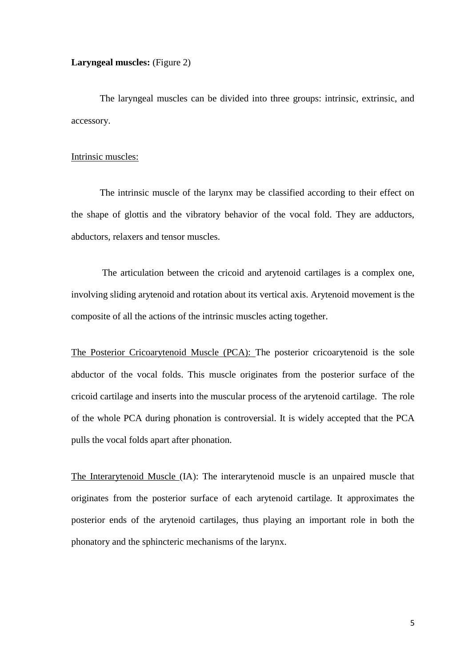### **Laryngeal muscles:** (Figure 2)

The laryngeal muscles can be divided into three groups: intrinsic, extrinsic, and accessory.

#### Intrinsic muscles:

The intrinsic muscle of the larynx may be classified according to their effect on the shape of glottis and the vibratory behavior of the vocal fold. They are adductors, abductors, relaxers and tensor muscles.

The articulation between the cricoid and arytenoid cartilages is a complex one, involving sliding arytenoid and rotation about its vertical axis. Arytenoid movement is the composite of all the actions of the intrinsic muscles acting together.

The Posterior Cricoarytenoid Muscle (PCA): The posterior cricoarytenoid is the sole abductor of the vocal folds. This muscle originates from the posterior surface of the cricoid cartilage and inserts into the muscular process of the arytenoid cartilage. The role of the whole PCA during phonation is controversial. It is widely accepted that the PCA pulls the vocal folds apart after phonation.

The Interarytenoid Muscle (IA): The interarytenoid muscle is an unpaired muscle that originates from the posterior surface of each arytenoid cartilage. It approximates the posterior ends of the arytenoid cartilages, thus playing an important role in both the phonatory and the sphincteric mechanisms of the larynx.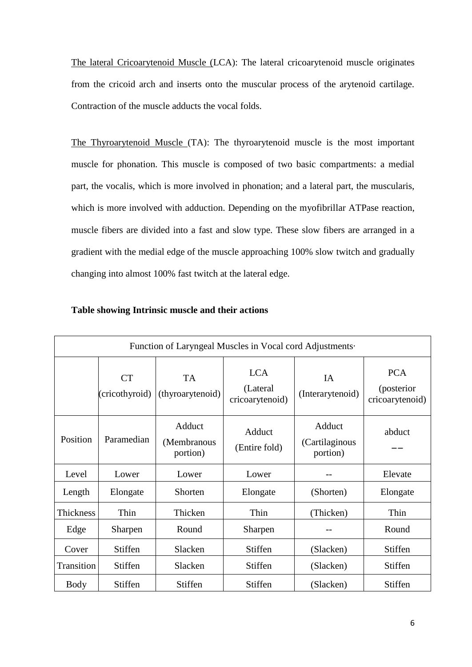The lateral Cricoarytenoid Muscle (LCA): The lateral cricoarytenoid muscle originates from the cricoid arch and inserts onto the muscular process of the arytenoid cartilage. Contraction of the muscle adducts the vocal folds.

The Thyroarytenoid Muscle (TA): The thyroarytenoid muscle is the most important muscle for phonation. This muscle is composed of two basic compartments: a medial part, the vocalis, which is more involved in phonation; and a lateral part, the muscularis, which is more involved with adduction. Depending on the myofibrillar ATPase reaction, muscle fibers are divided into a fast and slow type. These slow fibers are arranged in a gradient with the medial edge of the muscle approaching 100% slow twitch and gradually changing into almost 100% fast twitch at the lateral edge.

| Function of Laryngeal Muscles in Vocal cord Adjustments. |                                                                                         |                                   |                         |                                      |                                             |  |
|----------------------------------------------------------|-----------------------------------------------------------------------------------------|-----------------------------------|-------------------------|--------------------------------------|---------------------------------------------|--|
|                                                          | <b>LCA</b><br><b>TA</b><br><b>CT</b><br>(Lateral)<br>(cricothyroid)<br>(thyroarytenoid) |                                   | cricoarytenoid)         | IA<br>(Interarytenoid)               | <b>PCA</b><br>(posterior<br>cricoarytenoid) |  |
| Position                                                 | Paramedian                                                                              | Adduct<br>(Membranous<br>portion) | Adduct<br>(Entire fold) | Adduct<br>(Cartilaginous<br>portion) | abduct                                      |  |
| Level                                                    | Lower                                                                                   | Lower                             | Lower                   |                                      | Elevate                                     |  |
| Length                                                   | Elongate                                                                                | Shorten                           | Elongate                | (Shorten)                            | Elongate                                    |  |
| Thickness                                                | Thin                                                                                    | Thicken                           | Thin                    | (Thicken)                            | Thin                                        |  |
| Edge                                                     | Sharpen                                                                                 | Round                             | Sharpen                 |                                      | Round                                       |  |
| Cover                                                    | <b>Stiffen</b>                                                                          | Slacken                           | <b>Stiffen</b>          | (Slacken)                            | Stiffen                                     |  |
| Transition                                               | <b>Stiffen</b>                                                                          | Slacken                           | Stiffen                 | (Slacken)                            | <b>Stiffen</b>                              |  |
| Body                                                     | Stiffen                                                                                 | <b>Stiffen</b>                    | Stiffen                 | (Slacken)                            | Stiffen                                     |  |

### **Table showing Intrinsic muscle and their actions**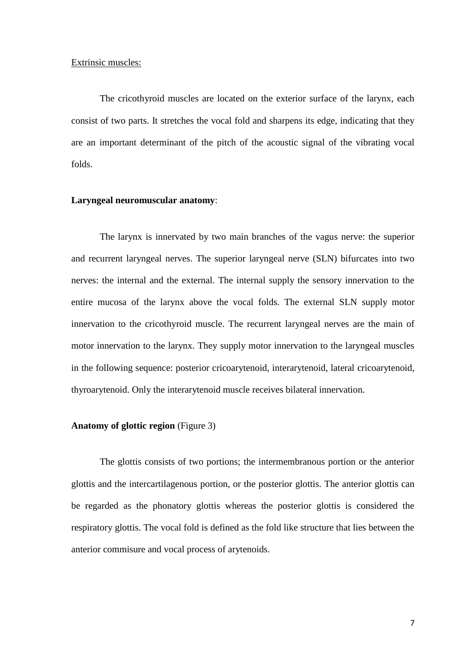#### Extrinsic muscles:

The cricothyroid muscles are located on the exterior surface of the larynx, each consist of two parts. It stretches the vocal fold and sharpens its edge, indicating that they are an important determinant of the pitch of the acoustic signal of the vibrating vocal folds.

#### **Laryngeal neuromuscular anatomy**:

The larynx is innervated by two main branches of the vagus nerve: the superior and recurrent laryngeal nerves. The superior laryngeal nerve (SLN) bifurcates into two nerves: the internal and the external. The internal supply the sensory innervation to the entire mucosa of the larynx above the vocal folds. The external SLN supply motor innervation to the cricothyroid muscle. The recurrent laryngeal nerves are the main of motor innervation to the larynx. They supply motor innervation to the laryngeal muscles in the following sequence: posterior cricoarytenoid, interarytenoid, lateral cricoarytenoid, thyroarytenoid. Only the interarytenoid muscle receives bilateral innervation.

### **Anatomy of glottic region** (Figure 3)

The glottis consists of two portions; the intermembranous portion or the anterior glottis and the intercartilagenous portion, or the posterior glottis. The anterior glottis can be regarded as the phonatory glottis whereas the posterior glottis is considered the respiratory glottis. The vocal fold is defined as the fold like structure that lies between the anterior commisure and vocal process of arytenoids.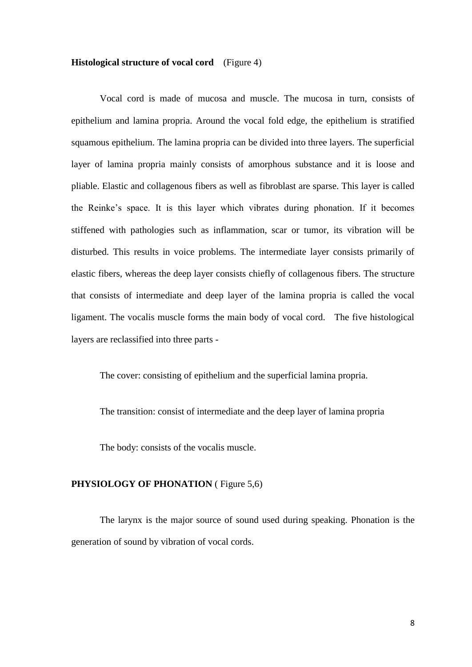#### **Histological structure of vocal cord** (Figure 4)

Vocal cord is made of mucosa and muscle. The mucosa in turn, consists of epithelium and lamina propria. Around the vocal fold edge, the epithelium is stratified squamous epithelium. The lamina propria can be divided into three layers. The superficial layer of lamina propria mainly consists of amorphous substance and it is loose and pliable. Elastic and collagenous fibers as well as fibroblast are sparse. This layer is called the Reinke"s space. It is this layer which vibrates during phonation. If it becomes stiffened with pathologies such as inflammation, scar or tumor, its vibration will be disturbed. This results in voice problems. The intermediate layer consists primarily of elastic fibers, whereas the deep layer consists chiefly of collagenous fibers. The structure that consists of intermediate and deep layer of the lamina propria is called the vocal ligament. The vocalis muscle forms the main body of vocal cord. The five histological layers are reclassified into three parts -

The cover: consisting of epithelium and the superficial lamina propria.

The transition: consist of intermediate and the deep layer of lamina propria

The body: consists of the vocalis muscle.

#### **PHYSIOLOGY OF PHONATION** (Figure 5,6)

The larynx is the major source of sound used during speaking. Phonation is the generation of sound by vibration of vocal cords.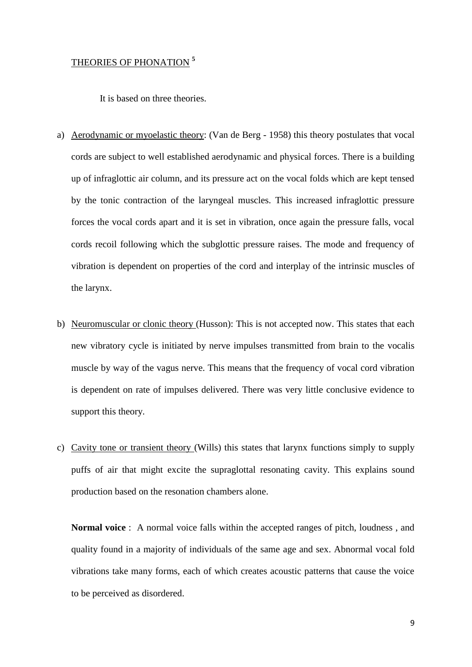### THEORIES OF PHONATION **<sup>5</sup>**

It is based on three theories.

- a) Aerodynamic or myoelastic theory: (Van de Berg 1958) this theory postulates that vocal cords are subject to well established aerodynamic and physical forces. There is a building up of infraglottic air column, and its pressure act on the vocal folds which are kept tensed by the tonic contraction of the laryngeal muscles. This increased infraglottic pressure forces the vocal cords apart and it is set in vibration, once again the pressure falls, vocal cords recoil following which the subglottic pressure raises. The mode and frequency of vibration is dependent on properties of the cord and interplay of the intrinsic muscles of the larynx.
- b) Neuromuscular or clonic theory (Husson): This is not accepted now. This states that each new vibratory cycle is initiated by nerve impulses transmitted from brain to the vocalis muscle by way of the vagus nerve. This means that the frequency of vocal cord vibration is dependent on rate of impulses delivered. There was very little conclusive evidence to support this theory.
- c) Cavity tone or transient theory (Wills) this states that larynx functions simply to supply puffs of air that might excite the supraglottal resonating cavity. This explains sound production based on the resonation chambers alone.

**Normal voice** : A normal voice falls within the accepted ranges of pitch, loudness , and quality found in a majority of individuals of the same age and sex. Abnormal vocal fold vibrations take many forms, each of which creates acoustic patterns that cause the voice to be perceived as disordered.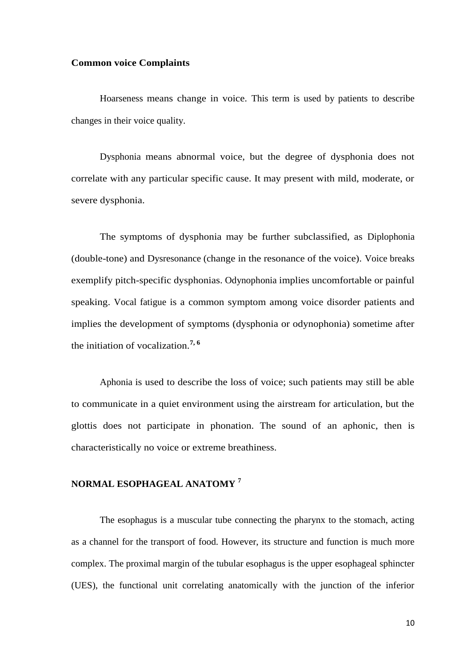#### **Common voice Complaints**

Hoarseness means change in voice. This term is used by patients to describe changes in their voice quality.

Dysphonia means abnormal voice, but the degree of dysphonia does not correlate with any particular specific cause. It may present with mild, moderate, or severe dysphonia.

The symptoms of dysphonia may be further subclassified, as Diplophonia (double-tone) and Dysresonance (change in the resonance of the voice). Voice breaks exemplify pitch-specific dysphonias. Odynophonia implies uncomfortable or painful speaking. Vocal fatigue is a common symptom among voice disorder patients and implies the development of symptoms (dysphonia or odynophonia) sometime after the initiation of vocalization.**7, 6**

Aphonia is used to describe the loss of voice; such patients may still be able to communicate in a quiet environment using the airstream for articulation, but the glottis does not participate in phonation. The sound of an aphonic, then is characteristically no voice or extreme breathiness.

### **NORMAL ESOPHAGEAL ANATOMY <sup>7</sup>**

The esophagus is a muscular tube connecting the pharynx to the stomach, acting as a channel for the transport of food. However, its structure and function is much more complex. The proximal margin of the tubular esophagus is the upper esophageal sphincter (UES), the functional unit correlating anatomically with the junction of the inferior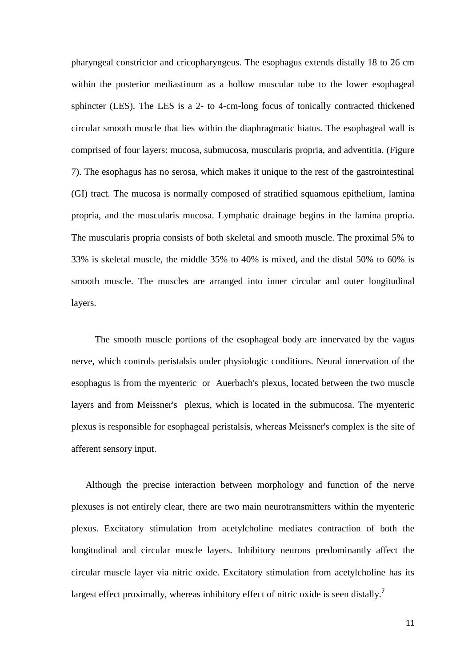pharyngeal constrictor and cricopharyngeus. The esophagus extends distally 18 to 26 cm within the posterior mediastinum as a hollow muscular tube to the lower esophageal sphincter (LES). The LES is a 2- to 4-cm-long focus of tonically contracted thickened circular smooth muscle that lies within the diaphragmatic hiatus. The esophageal wall is comprised of four layers: mucosa, submucosa, muscularis propria, and adventitia. (Figure 7). The esophagus has no serosa, which makes it unique to the rest of the gastrointestinal (GI) tract. The mucosa is normally composed of stratified squamous epithelium, lamina propria, and the muscularis mucosa. Lymphatic drainage begins in the lamina propria. The muscularis propria consists of both skeletal and smooth muscle. The proximal 5% to 33% is skeletal muscle, the middle 35% to 40% is mixed, and the distal 50% to 60% is smooth muscle. The muscles are arranged into inner circular and outer longitudinal layers.

 The smooth muscle portions of the esophageal body are innervated by the vagus nerve, which controls peristalsis under physiologic conditions. Neural innervation of the esophagus is from the myenteric or Auerbach's plexus, located between the two muscle layers and from Meissner's plexus, which is located in the submucosa. The myenteric plexus is responsible for esophageal peristalsis, whereas Meissner's complex is the site of afferent sensory input.

 Although the precise interaction between morphology and function of the nerve plexuses is not entirely clear, there are two main neurotransmitters within the myenteric plexus. Excitatory stimulation from acetylcholine mediates contraction of both the longitudinal and circular muscle layers. Inhibitory neurons predominantly affect the circular muscle layer via nitric oxide. Excitatory stimulation from acetylcholine has its largest effect proximally, whereas inhibitory effect of nitric oxide is seen distally.**<sup>7</sup>**

11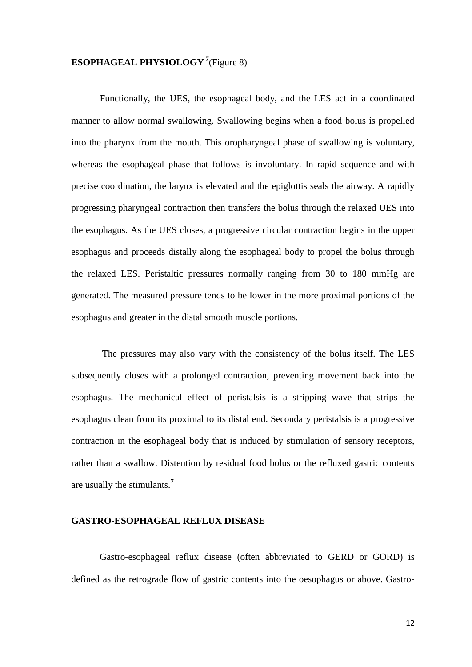# **ESOPHAGEAL PHYSIOLOGY <sup>7</sup>** (Figure 8)

Functionally, the UES, the esophageal body, and the LES act in a coordinated manner to allow normal swallowing. Swallowing begins when a food bolus is propelled into the pharynx from the mouth. This oropharyngeal phase of swallowing is voluntary, whereas the esophageal phase that follows is involuntary. In rapid sequence and with precise coordination, the larynx is elevated and the epiglottis seals the airway. A rapidly progressing pharyngeal contraction then transfers the bolus through the relaxed UES into the esophagus. As the UES closes, a progressive circular contraction begins in the upper esophagus and proceeds distally along the esophageal body to propel the bolus through the relaxed LES. Peristaltic pressures normally ranging from 30 to 180 mmHg are generated. The measured pressure tends to be lower in the more proximal portions of the esophagus and greater in the distal smooth muscle portions.

The pressures may also vary with the consistency of the bolus itself. The LES subsequently closes with a prolonged contraction, preventing movement back into the esophagus. The mechanical effect of peristalsis is a stripping wave that strips the esophagus clean from its proximal to its distal end. Secondary peristalsis is a progressive contraction in the esophageal body that is induced by stimulation of sensory receptors, rather than a swallow. Distention by residual food bolus or the refluxed gastric contents are usually the stimulants.**<sup>7</sup>**

### **GASTRO-ESOPHAGEAL REFLUX DISEASE**

Gastro-esophageal reflux disease (often abbreviated to GERD or GORD) is defined as the retrograde flow of gastric contents into the oesophagus or above. Gastro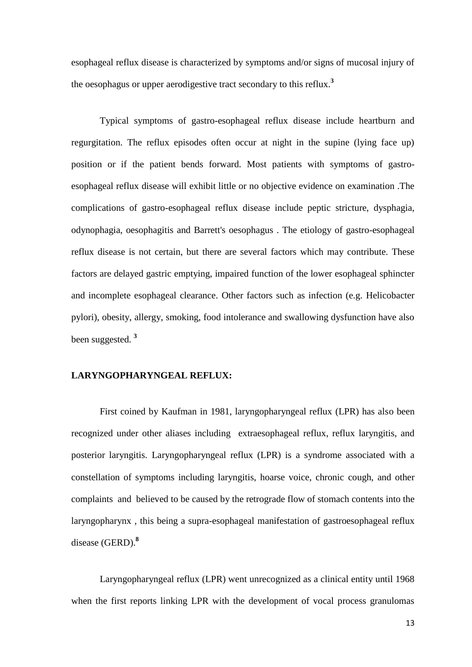esophageal reflux disease is characterized by symptoms and/or signs of mucosal injury of the oesophagus or upper aerodigestive tract secondary to this reflux.**<sup>3</sup>**

Typical symptoms of gastro-esophageal reflux disease include heartburn and regurgitation. The reflux episodes often occur at night in the supine (lying face up) position or if the patient bends forward. Most patients with symptoms of gastroesophageal reflux disease will exhibit little or no objective evidence on examination .The complications of gastro-esophageal reflux disease include peptic stricture, dysphagia, odynophagia, oesophagitis and Barrett's oesophagus . The etiology of gastro-esophageal reflux disease is not certain, but there are several factors which may contribute. These factors are delayed gastric emptying, impaired function of the lower esophageal sphincter and incomplete esophageal clearance. Other factors such as infection (e.g. Helicobacter pylori), obesity, allergy, smoking, food intolerance and swallowing dysfunction have also been suggested. **<sup>3</sup>**

### **LARYNGOPHARYNGEAL REFLUX:**

First coined by Kaufman in 1981, laryngopharyngeal reflux (LPR) has also been recognized under other aliases including extraesophageal reflux, reflux laryngitis, and posterior laryngitis. Laryngopharyngeal reflux (LPR) is a syndrome associated with a constellation of symptoms including laryngitis, hoarse voice, chronic cough, and other complaints and believed to be caused by the retrograde flow of stomach contents into the laryngopharynx , this being a supra-esophageal manifestation of gastroesophageal reflux disease (GERD).**<sup>8</sup>**

Laryngopharyngeal reflux (LPR) went unrecognized as a clinical entity until 1968 when the first reports linking LPR with the development of vocal process granulomas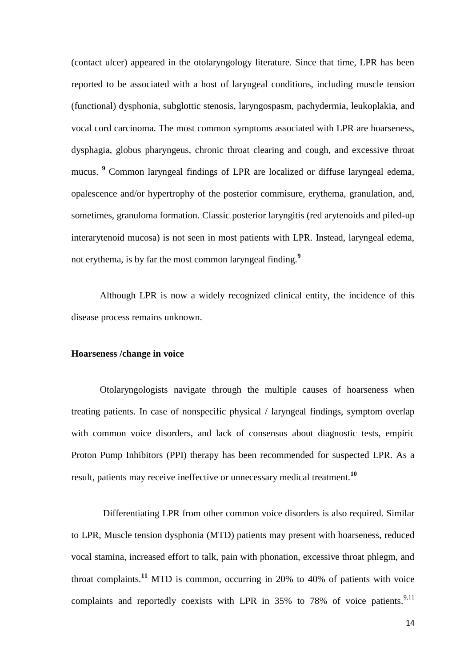(contact ulcer) appeared in the otolaryngology literature. Since that time, LPR has been reported to be associated with a host of laryngeal conditions, including muscle tension (functional) dysphonia, subglottic stenosis, laryngospasm, pachydermia, leukoplakia, and vocal cord carcinoma. The most common symptoms associated with LPR are hoarseness, dysphagia, globus pharyngeus, chronic throat clearing and cough, and excessive throat mucus. **<sup>9</sup>** Common laryngeal findings of LPR are localized or diffuse laryngeal edema, opalescence and/or hypertrophy of the posterior commisure, erythema, granulation, and, sometimes, granuloma formation. Classic posterior laryngitis (red arytenoids and piled-up interarytenoid mucosa) is not seen in most patients with LPR. Instead, laryngeal edema, not erythema, is by far the most common laryngeal finding.**<sup>9</sup>**

Although LPR is now a widely recognized clinical entity, the incidence of this disease process remains unknown.

#### **Hoarseness /change in voice**

Otolaryngologists navigate through the multiple causes of hoarseness when treating patients. In case of nonspecific physical / laryngeal findings, symptom overlap with common voice disorders, and lack of consensus about diagnostic tests, empiric Proton Pump Inhibitors (PPI) therapy has been recommended for suspected LPR. As a result, patients may receive ineffective or unnecessary medical treatment.**<sup>10</sup>**

 Differentiating LPR from other common voice disorders is also required. Similar to LPR, Muscle tension dysphonia (MTD) patients may present with hoarseness, reduced vocal stamina, increased effort to talk, pain with phonation, excessive throat phlegm, and throat complaints.**<sup>11</sup>** MTD is common, occurring in 20% to 40% of patients with voice complaints and reportedly coexists with LPR in 35% to 78% of voice patients.<sup>9,11</sup>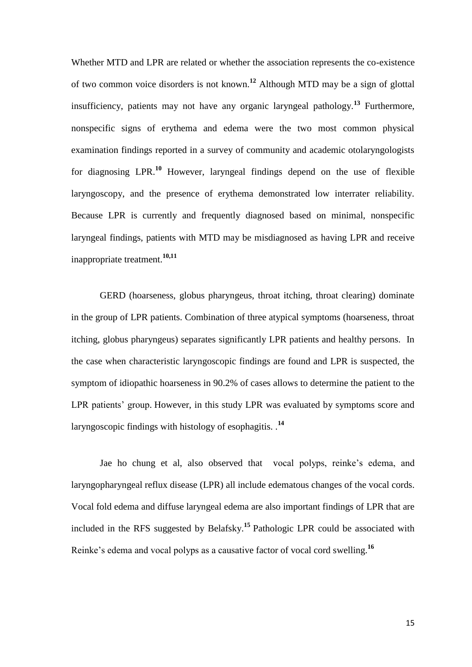Whether MTD and LPR are related or whether the association represents the co-existence of two common voice disorders is not known.**<sup>12</sup>** Although MTD may be a sign of glottal insufficiency, patients may not have any organic laryngeal pathology.**<sup>13</sup>** Furthermore, nonspecific signs of erythema and edema were the two most common physical examination findings reported in a survey of community and academic otolaryngologists for diagnosing LPR.**<sup>10</sup>** However, laryngeal findings depend on the use of flexible laryngoscopy, and the presence of erythema demonstrated low interrater reliability. Because LPR is currently and frequently diagnosed based on minimal, nonspecific laryngeal findings, patients with MTD may be misdiagnosed as having LPR and receive inappropriate treatment.**10,11**

GERD (hoarseness, globus pharyngeus, throat itching, throat clearing) dominate in the group of LPR patients. Combination of three atypical symptoms (hoarseness, throat itching, globus pharyngeus) separates significantly LPR patients and healthy persons. In the case when characteristic laryngoscopic findings are found and LPR is suspected, the symptom of idiopathic hoarseness in 90.2% of cases allows to determine the patient to the LPR patients' group. However, in this study LPR was evaluated by symptoms score and laryngoscopic findings with histology of esophagitis. .**<sup>14</sup>**

Jae ho chung et al, also observed that vocal polyps, reinke"s edema, and laryngopharyngeal reflux disease (LPR) all include edematous changes of the vocal cords. Vocal fold edema and diffuse laryngeal edema are also important findings of LPR that are included in the RFS suggested by Belafsky.**<sup>15</sup>**Pathologic LPR could be associated with Reinke's edema and vocal polyps as a causative factor of vocal cord swelling.<sup>16</sup>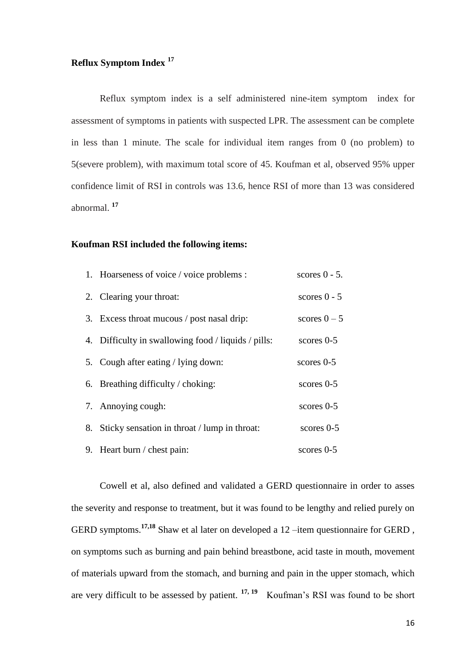# **Reflux Symptom Index <sup>17</sup>**

Reflux symptom index is a self administered nine-item symptom index for assessment of symptoms in patients with suspected LPR. The assessment can be complete in less than 1 minute. The scale for individual item ranges from 0 (no problem) to 5(severe problem), with maximum total score of 45. Koufman et al, observed 95% upper confidence limit of RSI in controls was 13.6, hence RSI of more than 13 was considered abnormal. **<sup>17</sup>**

#### **Koufman RSI included the following items:**

|    | 1. Hoarseness of voice / voice problems :           | scores $0 - 5$ . |
|----|-----------------------------------------------------|------------------|
|    | 2. Clearing your throat:                            | scores $0 - 5$   |
|    | 3. Excess throat mucous / post nasal drip:          | scores $0-5$     |
|    | 4. Difficulty in swallowing food / liquids / pills: | scores $0-5$     |
|    | 5. Cough after eating / lying down:                 | scores $0-5$     |
|    | 6. Breathing difficulty / choking:                  | scores $0-5$     |
|    | 7. Annoying cough:                                  | scores $0-5$     |
| 8. | Sticky sensation in throat / lump in throat:        | scores $0-5$     |
|    | 9. Heart burn / chest pain:                         | scores $0-5$     |

Cowell et al, also defined and validated a GERD questionnaire in order to asses the severity and response to treatment, but it was found to be lengthy and relied purely on GERD symptoms.**17,18** Shaw et al later on developed a 12 –item questionnaire for GERD , on symptoms such as burning and pain behind breastbone, acid taste in mouth, movement of materials upward from the stomach, and burning and pain in the upper stomach, which are very difficult to be assessed by patient. <sup>17, 19</sup> Koufman's RSI was found to be short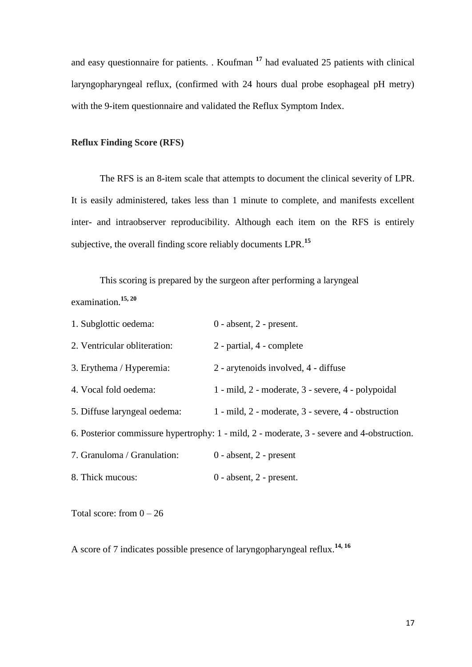and easy questionnaire for patients. . Koufman **<sup>17</sup>** had evaluated 25 patients with clinical laryngopharyngeal reflux, (confirmed with 24 hours dual probe esophageal pH metry) with the 9-item questionnaire and validated the Reflux Symptom Index.

### **Reflux Finding Score (RFS)**

The RFS is an 8-item scale that attempts to document the clinical severity of LPR. It is easily administered, takes less than 1 minute to complete, and manifests excellent inter- and intraobserver reproducibility. Although each item on the RFS is entirely subjective, the overall finding score reliably documents LPR.**<sup>15</sup>**

 This scoring is prepared by the surgeon after performing a laryngeal examination.**15, 20**

| 1. Subglottic oedema:        | $0$ - absent, $2$ - present.                                                               |
|------------------------------|--------------------------------------------------------------------------------------------|
| 2. Ventricular obliteration: | 2 - partial, 4 - complete                                                                  |
| 3. Erythema / Hyperemia:     | 2 - arytenoids involved, 4 - diffuse                                                       |
| 4. Vocal fold oedema:        | 1 - mild, 2 - moderate, 3 - severe, 4 - polypoidal                                         |
| 5. Diffuse laryngeal oedema: | 1 - mild, 2 - moderate, 3 - severe, 4 - obstruction                                        |
|                              | 6. Posterior commissure hypertrophy: 1 - mild, 2 - moderate, 3 - severe and 4-obstruction. |
| 7. Granuloma / Granulation:  | $0$ - absent, $2$ - present                                                                |
| 8. Thick mucous:             | $0$ - absent, $2$ - present.                                                               |

Total score: from  $0 - 26$ 

A score of 7 indicates possible presence of laryngopharyngeal reflux.**14, 16**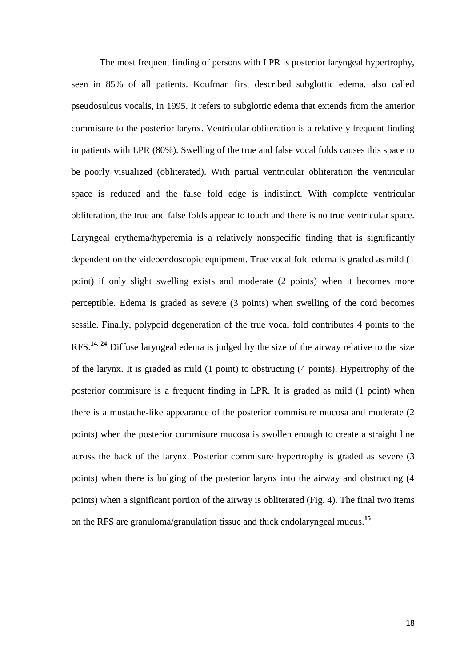The most frequent finding of persons with LPR is posterior laryngeal hypertrophy, seen in 85% of all patients. Koufman first described subglottic edema, also called pseudosulcus vocalis, in 1995. It refers to subglottic edema that extends from the anterior commisure to the posterior larynx. Ventricular obliteration is a relatively frequent finding in patients with LPR (80%). Swelling of the true and false vocal folds causes this space to be poorly visualized (obliterated). With partial ventricular obliteration the ventricular space is reduced and the false fold edge is indistinct. With complete ventricular obliteration, the true and false folds appear to touch and there is no true ventricular space. Laryngeal erythema/hyperemia is a relatively nonspecific finding that is significantly dependent on the videoendoscopic equipment. True vocal fold edema is graded as mild (1 point) if only slight swelling exists and moderate (2 points) when it becomes more perceptible. Edema is graded as severe (3 points) when swelling of the cord becomes sessile. Finally, polypoid degeneration of the true vocal fold contributes 4 points to the RFS.**14, 24** Diffuse laryngeal edema is judged by the size of the airway relative to the size of the larynx. It is graded as mild (1 point) to obstructing (4 points). Hypertrophy of the posterior commisure is a frequent finding in LPR. It is graded as mild (1 point) when there is a mustache-like appearance of the posterior commisure mucosa and moderate (2 points) when the posterior commisure mucosa is swollen enough to create a straight line across the back of the larynx. Posterior commisure hypertrophy is graded as severe (3 points) when there is bulging of the posterior larynx into the airway and obstructing (4 points) when a significant portion of the airway is obliterated (Fig. 4). The final two items on the RFS are granuloma/granulation tissue and thick endolaryngeal mucus.**<sup>15</sup>**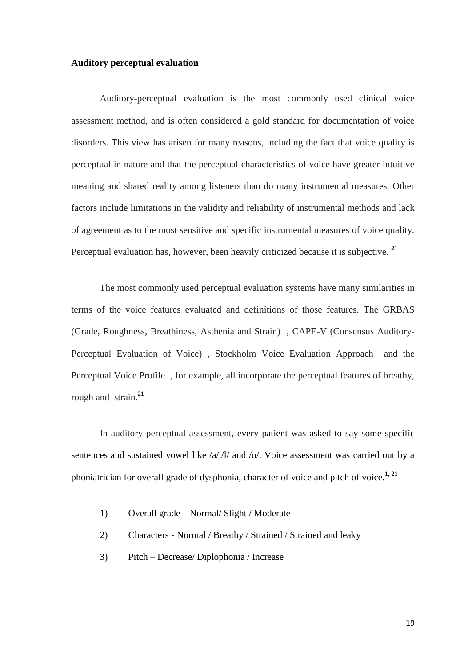#### **Auditory perceptual evaluation**

Auditory-perceptual evaluation is the most commonly used clinical voice assessment method, and is often considered a gold standard for documentation of voice disorders. This view has arisen for many reasons, including the fact that voice quality is perceptual in nature and that the perceptual characteristics of voice have greater intuitive meaning and shared reality among listeners than do many instrumental measures. Other factors include limitations in the validity and reliability of instrumental methods and lack of agreement as to the most sensitive and specific instrumental measures of voice quality. Perceptual evaluation has, however, been heavily criticized because it is subjective. **<sup>21</sup>**

The most commonly used perceptual evaluation systems have many similarities in terms of the voice features evaluated and definitions of those features. The GRBAS (Grade, Roughness, Breathiness, Asthenia and Strain) , CAPE-V (Consensus Auditory-Perceptual Evaluation of Voice) , Stockholm Voice Evaluation Approach and the Perceptual Voice Profile , for example, all incorporate the perceptual features of breathy, rough and strain.**<sup>21</sup>**

In auditory perceptual assessment, every patient was asked to say some specific sentences and sustained vowel like /a/,/l/ and /o/. Voice assessment was carried out by a phoniatrician for overall grade of dysphonia, character of voice and pitch of voice.**1, 21**

- 1) Overall grade Normal/ Slight / Moderate
- 2) Characters Normal / Breathy / Strained / Strained and leaky
- 3) Pitch Decrease/ Diplophonia / Increase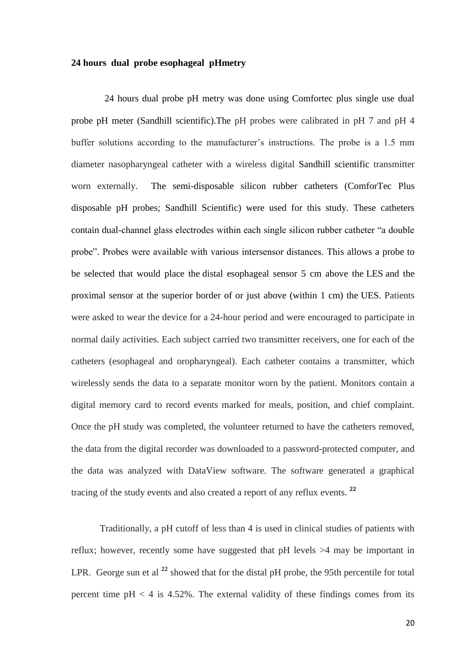#### **24 hours dual probe esophageal pHmetry**

 24 hours dual probe pH metry was done using Comfortec plus single use dual probe pH meter (Sandhill scientific).The pH probes were calibrated in pH 7 and pH 4 buffer solutions according to the manufacturer's instructions. The probe is a 1.5 mm diameter nasopharyngeal catheter with a wireless digital Sandhill scientific transmitter worn externally. The semi-disposable silicon rubber catheters (ComforTec Plus disposable pH probes; Sandhill Scientific) were used for this study. These catheters contain dual-channel glass electrodes within each single silicon rubber catheter "a double probe". Probes were available with various intersensor distances. This allows a probe to be selected that would place the distal esophageal sensor 5 cm above the LES and the proximal sensor at the superior border of or just above (within 1 cm) the UES. Patients were asked to wear the device for a 24-hour period and were encouraged to participate in normal daily activities. Each subject carried two transmitter receivers, one for each of the catheters (esophageal and oropharyngeal). Each catheter contains a transmitter, which wirelessly sends the data to a separate monitor worn by the patient. Monitors contain a digital memory card to record events marked for meals, position, and chief complaint. Once the pH study was completed, the volunteer returned to have the catheters removed, the data from the digital recorder was downloaded to a password-protected computer, and the data was analyzed with DataView software. The software generated a graphical tracing of the study events and also created a report of any reflux events. **<sup>22</sup>**

Traditionally, a pH cutoff of less than 4 is used in clinical studies of patients with reflux; however, recently some have suggested that pH levels >4 may be important in LPR. George sun et al <sup>22</sup> showed that for the distal pH probe, the 95th percentile for total percent time  $pH < 4$  is 4.52%. The external validity of these findings comes from its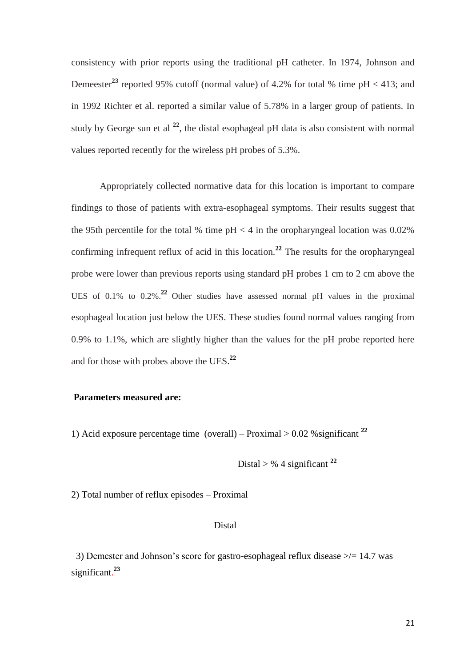consistency with prior reports using the traditional pH catheter. In 1974, Johnson and Demeester<sup>23</sup> reported 95% cutoff (normal value) of 4.2% for total % time  $pH < 413$ ; and in 1992 Richter et al. reported a similar value of 5.78% in a larger group of patients. In study by George sun et al **<sup>22</sup>**, the distal esophageal pH data is also consistent with normal values reported recently for the wireless pH probes of 5.3%.

Appropriately collected normative data for this location is important to compare findings to those of patients with extra-esophageal symptoms. Their results suggest that the 95th percentile for the total % time  $pH < 4$  in the oropharyngeal location was 0.02% confirming infrequent reflux of acid in this location.**<sup>22</sup>** The results for the oropharyngeal probe were lower than previous reports using standard pH probes 1 cm to 2 cm above the UES of 0.1% to 0.2%.**22** Other studies have assessed normal pH values in the proximal esophageal location just below the UES. These studies found normal values ranging from 0.9% to 1.1%, which are slightly higher than the values for the pH probe reported here and for those with probes above the UES.**<sup>22</sup>**

### **Parameters measured are:**

1) Acid exposure percentage time (overall) – Proximal  $> 0.02$  % significant  $^{22}$ 

Distal  $>$  % 4 significant  $^{22}$ 

2) Total number of reflux episodes – Proximal

### Distal

 3) Demester and Johnson"s score for gastro-esophageal reflux disease >/= 14.7 was significant. **23**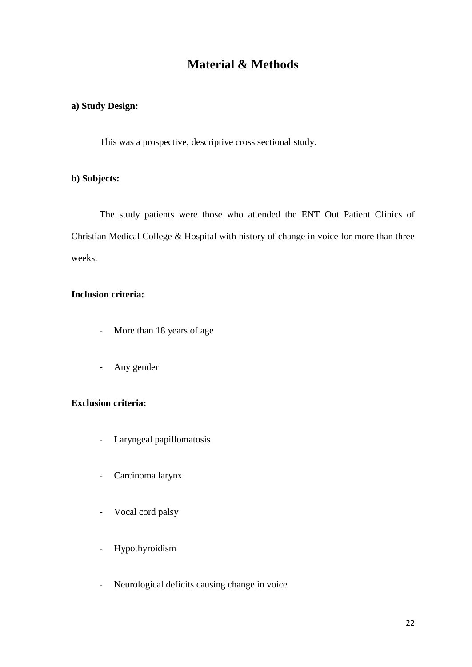# **Material & Methods**

### **a) Study Design:**

This was a prospective, descriptive cross sectional study.

# **b) Subjects:**

The study patients were those who attended the ENT Out Patient Clinics of Christian Medical College & Hospital with history of change in voice for more than three weeks.

### **Inclusion criteria:**

- More than 18 years of age
- Any gender

### **Exclusion criteria:**

- Laryngeal papillomatosis
- Carcinoma larynx
- Vocal cord palsy
- Hypothyroidism
- Neurological deficits causing change in voice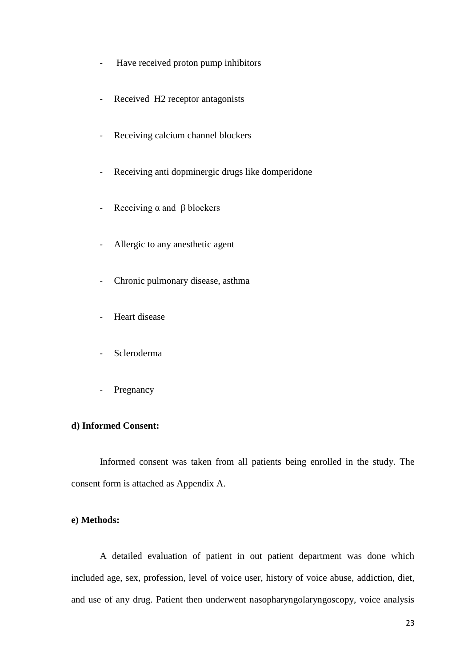- Have received proton pump inhibitors
- Received H2 receptor antagonists
- Receiving calcium channel blockers
- Receiving anti dopminergic drugs like domperidone
- Receiving  $\alpha$  and  $\beta$  blockers
- Allergic to any anesthetic agent
- Chronic pulmonary disease, asthma
- Heart disease
- Scleroderma
- Pregnancy

### **d) Informed Consent:**

Informed consent was taken from all patients being enrolled in the study. The consent form is attached as Appendix A.

### **e) Methods:**

A detailed evaluation of patient in out patient department was done which included age, sex, profession, level of voice user, history of voice abuse, addiction, diet, and use of any drug. Patient then underwent nasopharyngolaryngoscopy, voice analysis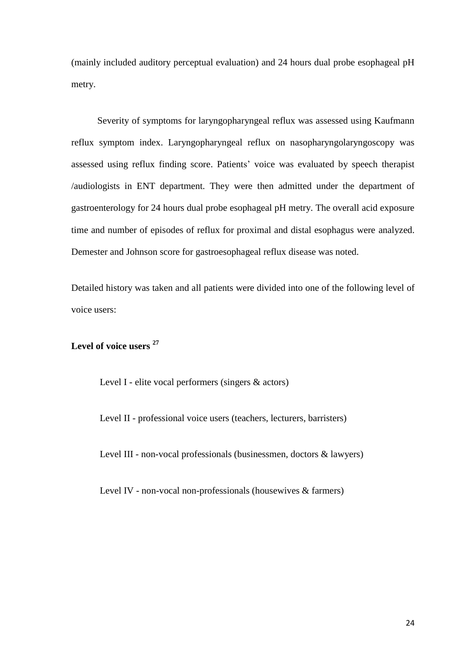(mainly included auditory perceptual evaluation) and 24 hours dual probe esophageal pH metry.

Severity of symptoms for laryngopharyngeal reflux was assessed using Kaufmann reflux symptom index. Laryngopharyngeal reflux on nasopharyngolaryngoscopy was assessed using reflux finding score. Patients' voice was evaluated by speech therapist /audiologists in ENT department. They were then admitted under the department of gastroenterology for 24 hours dual probe esophageal pH metry. The overall acid exposure time and number of episodes of reflux for proximal and distal esophagus were analyzed. Demester and Johnson score for gastroesophageal reflux disease was noted.

Detailed history was taken and all patients were divided into one of the following level of voice users:

# **Level of voice users <sup>27</sup>**

Level I - elite vocal performers (singers & actors)

Level II - professional voice users (teachers, lecturers, barristers)

Level III - non-vocal professionals (businessmen, doctors & lawyers)

Level IV - non-vocal non-professionals (housewives & farmers)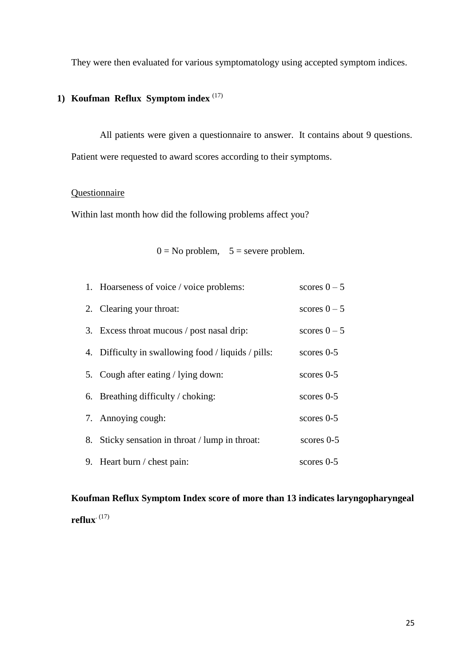They were then evaluated for various symptomatology using accepted symptom indices.

# **1) Koufman Reflux Symptom index** (17)

All patients were given a questionnaire to answer. It contains about 9 questions. Patient were requested to award scores according to their symptoms.

# **Questionnaire**

Within last month how did the following problems affect you?

# $0 = No$  problem,  $5 =$  severe problem.

| 1. Hoarseness of voice / voice problems:            | scores $0-5$ |
|-----------------------------------------------------|--------------|
| 2. Clearing your throat:                            | scores $0-5$ |
| 3. Excess throat mucous / post nasal drip:          | scores $0-5$ |
| 4. Difficulty in swallowing food / liquids / pills: | $scores$ 0-5 |
| 5. Cough after eating / lying down:                 | scores $0-5$ |
| 6. Breathing difficulty $/$ choking:                | scores $0-5$ |
| 7. Annoying cough:                                  | scores $0-5$ |
| 8. Sticky sensation in throat / lump in throat:     | scores $0-5$ |
| 9. Heart burn / chest pain:                         | scores $0-5$ |

**Koufman Reflux Symptom Index score of more than 13 indicates laryngopharyngeal reflux**. (17)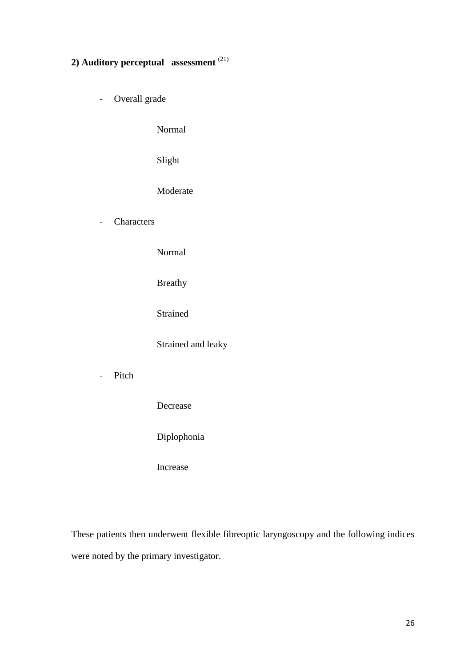# **2) Auditory perceptual assessment** (21)

- Overall grade

Normal

Slight

Moderate

- Characters

Normal

Breathy

Strained

Strained and leaky

- Pitch

Decrease

Diplophonia

Increase

These patients then underwent flexible fibreoptic laryngoscopy and the following indices were noted by the primary investigator.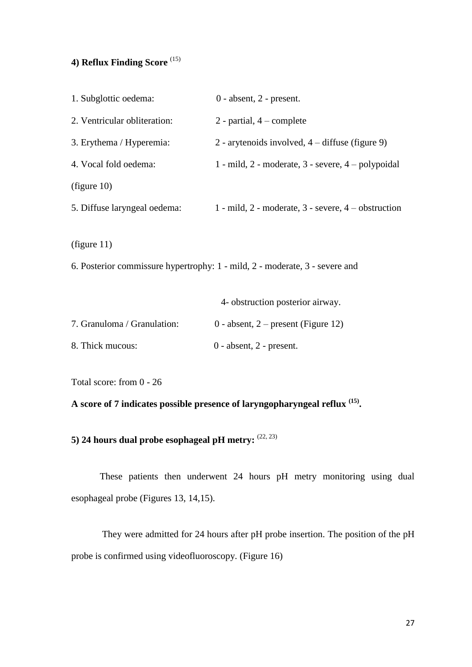# **4) Reflux Finding Score** (15)

| 1. Subglottic oedema:        | $0$ - absent, $2$ - present.                                                |
|------------------------------|-----------------------------------------------------------------------------|
| 2. Ventricular obliteration: | 2 - partial, $4$ – complete                                                 |
| 3. Erythema / Hyperemia:     | 2 - arytenoids involved, 4 – diffuse (figure 9)                             |
| 4. Vocal fold oedema:        | 1 - mild, 2 - moderate, 3 - severe, 4 - polypoidal                          |
| (figure 10)                  |                                                                             |
| 5. Diffuse laryngeal oedema: | 1 - mild, 2 - moderate, 3 - severe, 4 - obstruction                         |
| (figure 11)                  | 6. Posterior commissure hypertrophy: 1 - mild, 2 - moderate, 3 - severe and |
|                              | 4- obstruction posterior airway.                                            |
| 7. Granuloma / Granulation:  | 0 - absent, $2$ – present (Figure 12)                                       |
| 8. Thick mucous:             | $0$ - absent, $2$ - present.                                                |

Total score: from 0 - 26

**A score of 7 indicates possible presence of laryngopharyngeal reflux (15) .**

**5) 24 hours dual probe esophageal pH metry:**  $^{(22, 23)}$ 

These patients then underwent 24 hours pH metry monitoring using dual esophageal probe (Figures 13, 14,15).

They were admitted for 24 hours after pH probe insertion. The position of the pH probe is confirmed using videofluoroscopy. (Figure 16)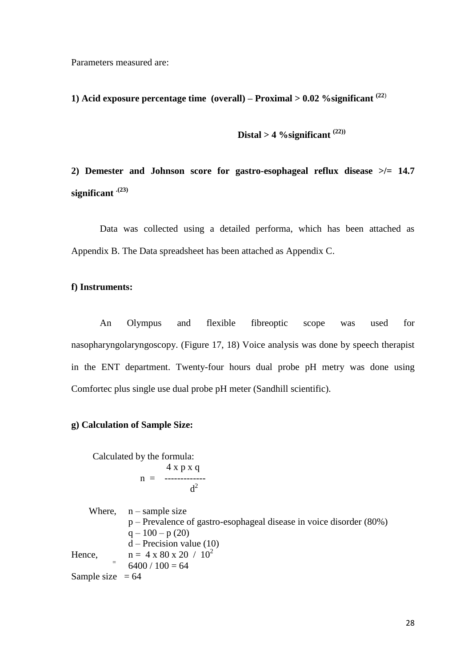Parameters measured are:

**1) Acid exposure percentage time (overall) – Proximal > 0.02 %significant (22**)

 $\textbf{Distal} > 4 \text{ %}$   $\%$  significant  $(22)$ 

**2) Demester and Johnson score for gastro-esophageal reflux disease >/= 14.7 significant .(23)**

Data was collected using a detailed performa, which has been attached as Appendix B. The Data spreadsheet has been attached as Appendix C.

#### **f) Instruments:**

An Olympus and flexible fibreoptic scope was used for nasopharyngolaryngoscopy. (Figure 17, 18) Voice analysis was done by speech therapist in the ENT department. Twenty-four hours dual probe pH metry was done using Comfortec plus single use dual probe pH meter (Sandhill scientific).

#### **g) Calculation of Sample Size:**

Calculated by the formula: 4 x p x q  $n =$  ------------ $d^2$ 

Where,  $n$  – sample size p – Prevalence of gastro-esophageal disease in voice disorder (80%)  $q - 100 - p(20)$  $d$  – Precision value (10) Hence,  $n = 4 \times 80 \times 20 / 10^2$  $6400 / 100 = 64$ Sample size  $= 64$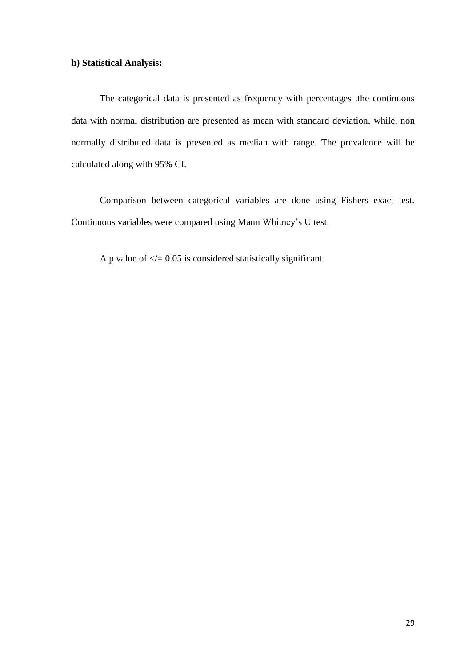### **h) Statistical Analysis:**

The categorical data is presented as frequency with percentages .the continuous data with normal distribution are presented as mean with standard deviation, while, non normally distributed data is presented as median with range. The prevalence will be calculated along with 95% CI.

Comparison between categorical variables are done using Fishers exact test. Continuous variables were compared using Mann Whitney"s U test.

A p value of  $\ll$  = 0.05 is considered statistically significant.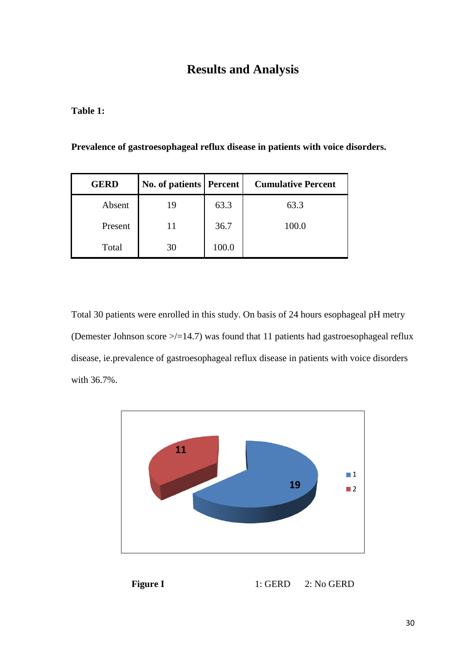# **Results and Analysis**

**Table 1:**

| <b>GERD</b> | <b>No. of patients   Percent</b> |       | <b>Cumulative Percent</b> |
|-------------|----------------------------------|-------|---------------------------|
| Absent      | 19                               | 63.3  | 63.3                      |
| Present     |                                  | 36.7  | 100.0                     |
| Total       | 30                               | 100.0 |                           |

Total 30 patients were enrolled in this study. On basis of 24 hours esophageal pH metry (Demester Johnson score  $\ge$ /=14.7) was found that 11 patients had gastroesophageal reflux disease, ie.prevalence of gastroesophageal reflux disease in patients with voice disorders with 36.7%.



**Figure I 1: GERD 2: No GERD**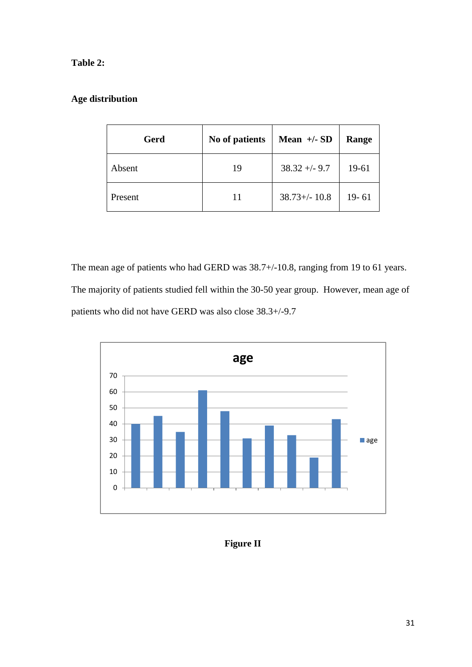### **Table 2:**

# **Age distribution**

| Gerd    | No of patients | Mean $+/-$ SD     | Range     |
|---------|----------------|-------------------|-----------|
| Absent  | 19             | $38.32 + -9.7$    | 19-61     |
| Present | 11             | $38.73 + (-10.8)$ | $19 - 61$ |

The mean age of patients who had GERD was 38.7+/-10.8, ranging from 19 to 61 years. The majority of patients studied fell within the 30-50 year group. However, mean age of patients who did not have GERD was also close 38.3+/-9.7



**Figure II**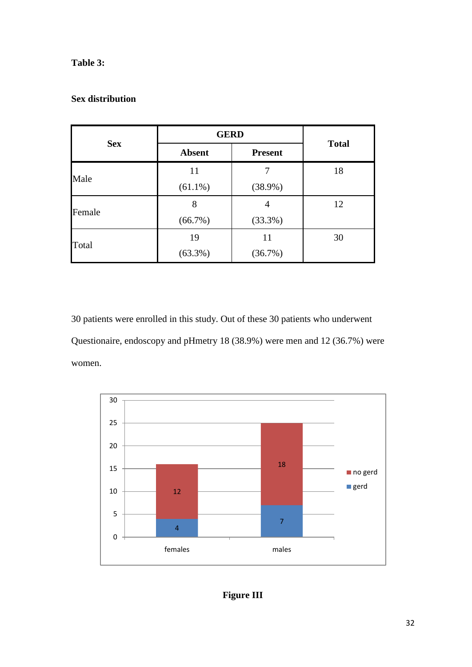### **Table 3:**

### **Sex distribution**

|            | <b>GERD</b>                     | <b>Total</b> |    |
|------------|---------------------------------|--------------|----|
| <b>Sex</b> | <b>Absent</b><br><b>Present</b> |              |    |
| Male       | 11                              | 7            | 18 |
|            | $(61.1\%)$                      | $(38.9\%)$   |    |
| Female     | 8                               | 4            | 12 |
|            | (66.7%)                         | (33.3%)      |    |
|            | 19                              | 11           | 30 |
| Total      | $(63.3\%)$                      | (36.7%)      |    |

30 patients were enrolled in this study. Out of these 30 patients who underwent Questionaire, endoscopy and pHmetry 18 (38.9%) were men and 12 (36.7%) were women.



# **Figure III**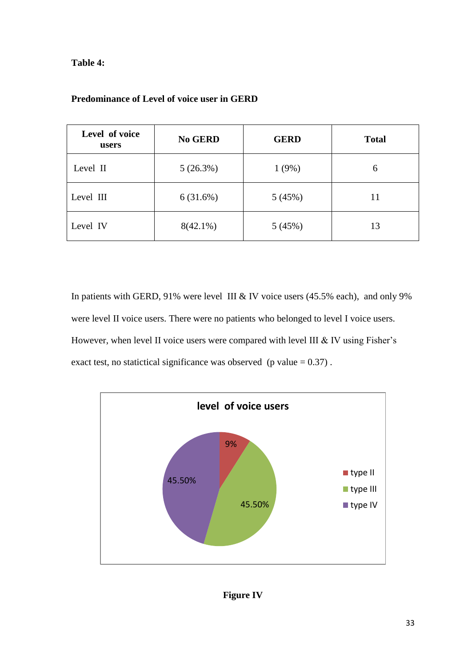### **Table 4:**

| Level of voice<br>users | <b>No GERD</b> | <b>GERD</b> | <b>Total</b> |
|-------------------------|----------------|-------------|--------------|
| Level II                | 5(26.3%)       | 1(9%)       | 6            |
| Level III               | 6(31.6%)       | 5(45%)      | 11           |
| Level IV                | $8(42.1\%)$    | 5(45%)      | 13           |

# **Predominance of Level of voice user in GERD**

In patients with GERD, 91% were level III & IV voice users (45.5% each), and only 9% were level II voice users. There were no patients who belonged to level I voice users. However, when level II voice users were compared with level III  $&$  IV using Fisher's exact test, no statictical significance was observed (p value  $= 0.37$ ).



# **Figure IV**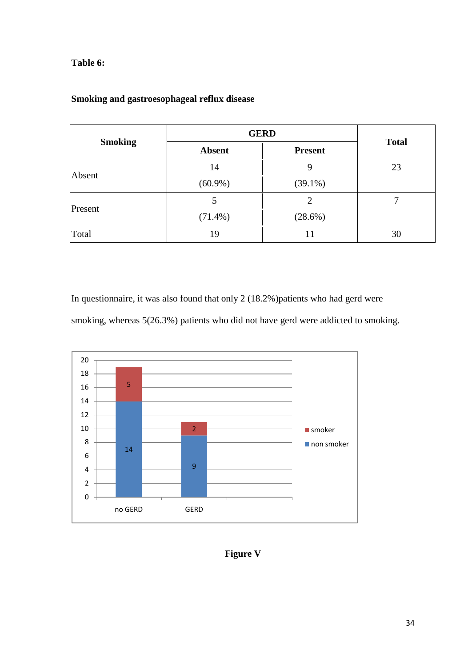### **Table 6:**

|                | <b>GERD</b>                     | <b>Total</b> |    |
|----------------|---------------------------------|--------------|----|
| <b>Smoking</b> | <b>Absent</b><br><b>Present</b> |              |    |
|                | 14                              | 9            | 23 |
| Absent         | $(60.9\%)$                      | $(39.1\%)$   |    |
|                | 5                               | 2            |    |
| Present        | $(71.4\%)$                      | $(28.6\%)$   |    |
| Total          | 19                              | 11           | 30 |

# **Smoking and gastroesophageal reflux disease**

In questionnaire, it was also found that only 2 (18.2%)patients who had gerd were

smoking, whereas 5(26.3%) patients who did not have gerd were addicted to smoking.



**Figure V**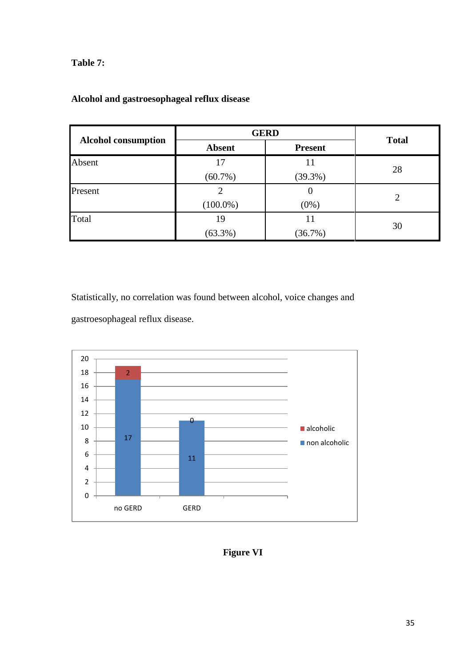### **Table 7:**

|                            | <b>GERD</b>                     | <b>Total</b> |    |
|----------------------------|---------------------------------|--------------|----|
| <b>Alcohol consumption</b> | <b>Absent</b><br><b>Present</b> |              |    |
| Absent                     | 17                              | 11           |    |
|                            | $(60.7\%)$                      | $(39.3\%)$   | 28 |
| Present                    | 2                               | U            |    |
|                            | $(100.0\%)$                     | $(0\%)$      | 2  |
| Total                      | 19                              | 11           |    |
|                            | $(63.3\%)$                      | (36.7%)      | 30 |

# **Alcohol and gastroesophageal reflux disease**

Statistically, no correlation was found between alcohol, voice changes and gastroesophageal reflux disease.



**Figure VI**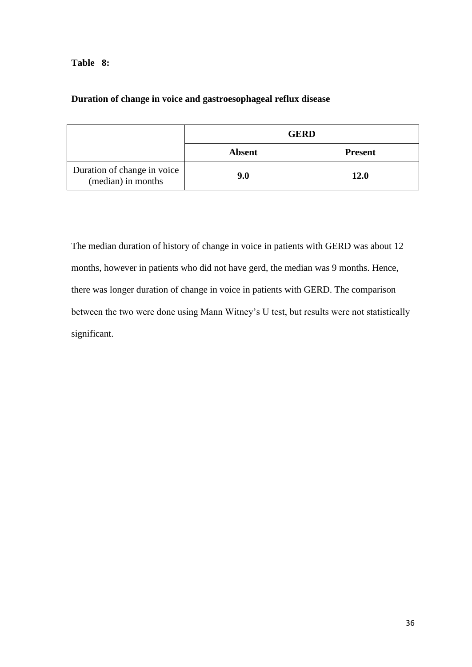### **Table 8:**

# **Duration of change in voice and gastroesophageal reflux disease**

|                                                   | <b>GERD</b>                     |             |  |  |  |
|---------------------------------------------------|---------------------------------|-------------|--|--|--|
|                                                   | <b>Absent</b><br><b>Present</b> |             |  |  |  |
| Duration of change in voice<br>(median) in months | 9.0                             | <b>12.0</b> |  |  |  |

The median duration of history of change in voice in patients with GERD was about 12 months, however in patients who did not have gerd, the median was 9 months. Hence, there was longer duration of change in voice in patients with GERD. The comparison between the two were done using Mann Witney"s U test, but results were not statistically significant.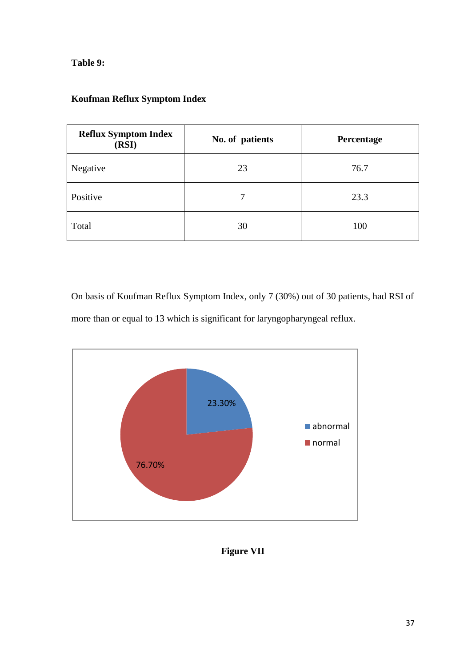**Table 9:**

| <b>Reflux Symptom Index</b><br>(RSI) | No. of patients | Percentage |
|--------------------------------------|-----------------|------------|
| Negative                             | 23              | 76.7       |
| Positive                             | 7               | 23.3       |
| Total                                | 30              | 100        |

### **Koufman Reflux Symptom Index**

On basis of Koufman Reflux Symptom Index, only 7 (30%) out of 30 patients, had RSI of more than or equal to 13 which is significant for laryngopharyngeal reflux.



**Figure VII**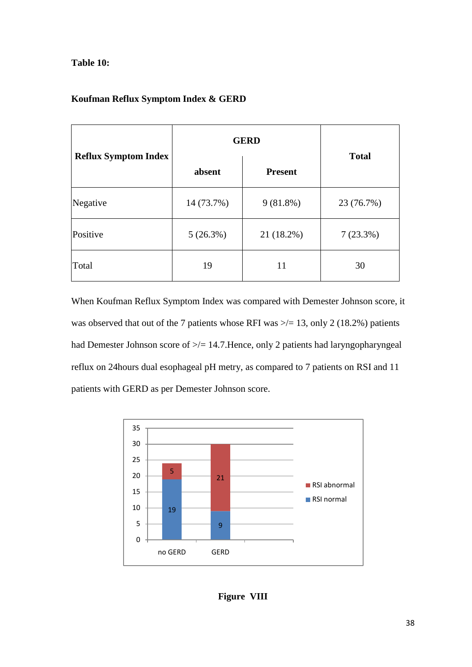### **Table 10:**

### **Koufman Reflux Symptom Index & GERD**

|                             | <b>GERD</b>              | <b>Total</b> |             |
|-----------------------------|--------------------------|--------------|-------------|
| <b>Reflux Symptom Index</b> | absent<br><b>Present</b> |              |             |
| Negative                    | 14 (73.7%)               | $9(81.8\%)$  | 23 (76.7%)  |
| Positive                    | 5(26.3%)                 | 21 (18.2%)   | $7(23.3\%)$ |
| Total                       | 19                       | 11           | 30          |

When Koufman Reflux Symptom Index was compared with Demester Johnson score, it was observed that out of the 7 patients whose RFI was  $\ge$  = 13, only 2 (18.2%) patients had Demester Johnson score of  $\ge$ /= 14.7. Hence, only 2 patients had laryngopharyngeal reflux on 24hours dual esophageal pH metry, as compared to 7 patients on RSI and 11 patients with GERD as per Demester Johnson score.



**Figure VIII**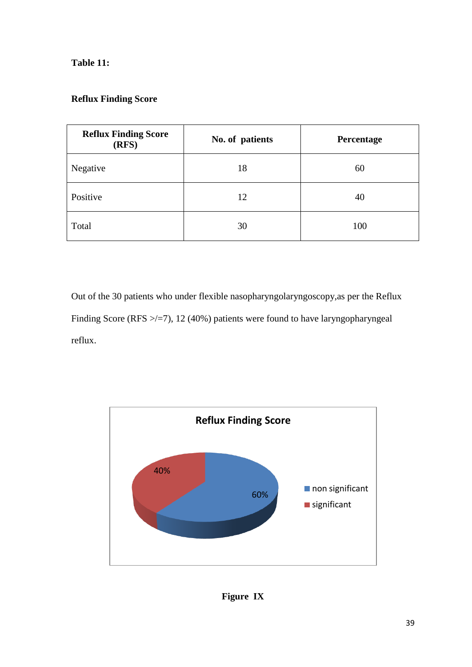### **Table 11:**

# **Reflux Finding Score**

| <b>Reflux Finding Score</b><br>(RFS) | No. of patients | Percentage |  |
|--------------------------------------|-----------------|------------|--|
| Negative                             | 18              | 60         |  |
| Positive                             | 12              | 40         |  |
| Total                                | 30              | 100        |  |

Out of the 30 patients who under flexible nasopharyngolaryngoscopy,as per the Reflux Finding Score (RFS  $\ge$ /=7), 12 (40%) patients were found to have laryngopharyngeal reflux.



**Figure IX**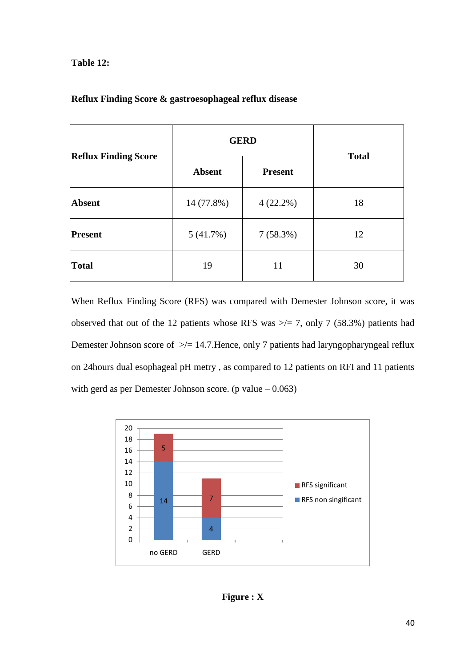### **Table 12:**

|                             | <b>GERD</b>   | <b>Total</b> |    |
|-----------------------------|---------------|--------------|----|
| <b>Reflux Finding Score</b> | <b>Absent</b> |              |    |
| <b>Absent</b>               | 14 (77.8%)    | $4(22.2\%)$  | 18 |
| <b>Present</b>              | 5(41.7%)      | 7(58.3%)     | 12 |
| <b>Total</b>                | 19            | 11           | 30 |

### **Reflux Finding Score & gastroesophageal reflux disease**

When Reflux Finding Score (RFS) was compared with Demester Johnson score, it was observed that out of the 12 patients whose RFS was  $\ge$ /= 7, only 7 (58.3%) patients had Demester Johnson score of  $\ge$ /= 14.7. Hence, only 7 patients had laryngopharyngeal reflux on 24hours dual esophageal pH metry , as compared to 12 patients on RFI and 11 patients with gerd as per Demester Johnson score. (p value  $-0.063$ )

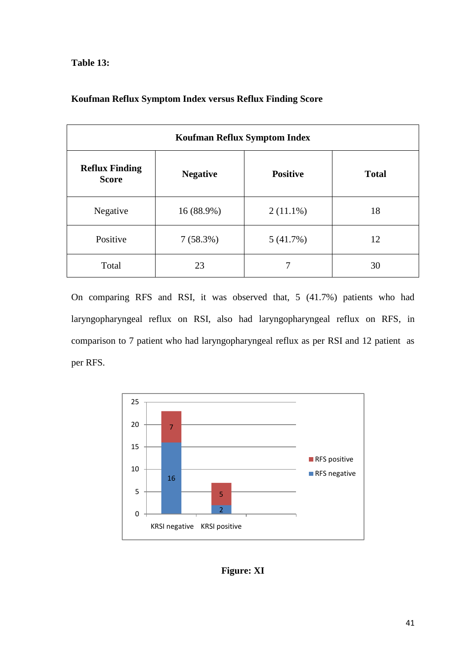**Table 13:**

| <b>Koufman Reflux Symptom Index</b>   |                 |              |    |  |  |
|---------------------------------------|-----------------|--------------|----|--|--|
| <b>Reflux Finding</b><br><b>Score</b> | <b>Positive</b> | <b>Total</b> |    |  |  |
| Negative                              | 16 (88.9%)      | $2(11.1\%)$  | 18 |  |  |
| Positive                              | 7(58.3%)        | 5(41.7%)     | 12 |  |  |
| Total                                 | 23              |              | 30 |  |  |

### **Koufman Reflux Symptom Index versus Reflux Finding Score**

On comparing RFS and RSI, it was observed that, 5 (41.7%) patients who had laryngopharyngeal reflux on RSI, also had laryngopharyngeal reflux on RFS, in comparison to 7 patient who had laryngopharyngeal reflux as per RSI and 12 patient as per RFS.



**Figure: XI**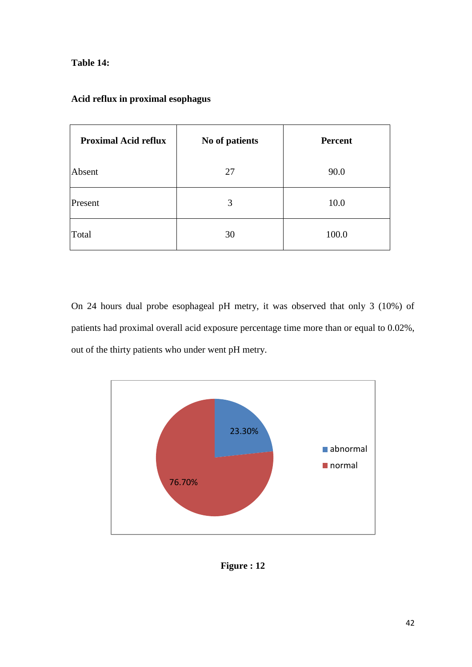### **Table 14:**

| <b>Proximal Acid reflux</b> | No of patients | <b>Percent</b> |
|-----------------------------|----------------|----------------|
| Absent                      | 27             | 90.0           |
| Present                     | 3              | 10.0           |
| Total                       | 30             | 100.0          |

# **Acid reflux in proximal esophagus**

On 24 hours dual probe esophageal pH metry, it was observed that only 3 (10%) of patients had proximal overall acid exposure percentage time more than or equal to 0.02%, out of the thirty patients who under went pH metry.



**Figure : 12**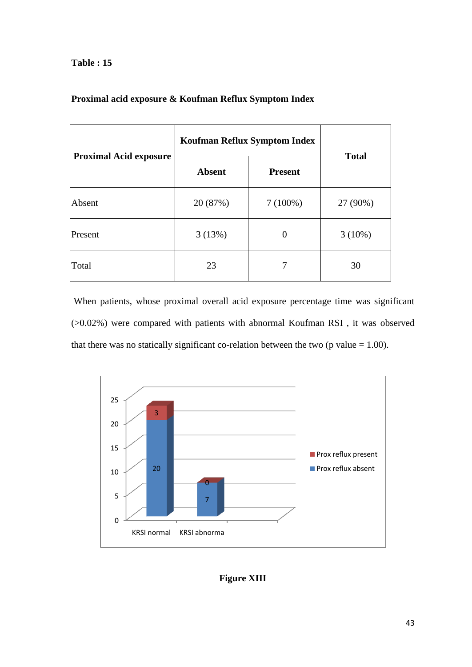### **Table : 15**

|                               | <b>Koufman Reflux Symptom Index</b> |                |              |  |
|-------------------------------|-------------------------------------|----------------|--------------|--|
| <b>Proximal Acid exposure</b> | <b>Absent</b>                       | <b>Present</b> | <b>Total</b> |  |
| Absent                        | 20 (87%)                            | $7(100\%)$     | 27 (90%)     |  |
| Present                       | 3(13%)                              | $\theta$       | $3(10\%)$    |  |
| Total                         | 23                                  |                | 30           |  |

### **Proximal acid exposure & Koufman Reflux Symptom Index**

When patients, whose proximal overall acid exposure percentage time was significant (>0.02%) were compared with patients with abnormal Koufman RSI , it was observed that there was no statically significant co-relation between the two ( $p$  value  $= 1.00$ ).



# **Figure XIII**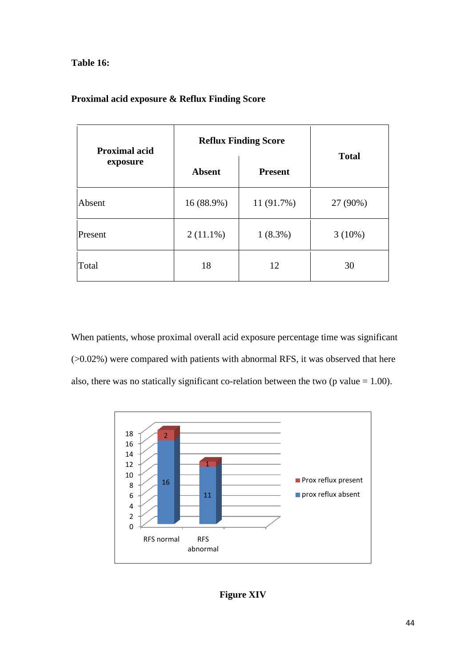### **Table 16:**

| <b>Proximal acid exposure &amp; Reflux Finding Score</b> |  |  |  |
|----------------------------------------------------------|--|--|--|
|----------------------------------------------------------|--|--|--|

| <b>Proximal acid</b> | <b>Reflux Finding Score</b>     | <b>Total</b> |           |
|----------------------|---------------------------------|--------------|-----------|
| exposure             | <b>Absent</b><br><b>Present</b> |              |           |
| Absent               | 16 (88.9%)                      | 11 (91.7%)   | 27 (90%)  |
| Present              | $2(11.1\%)$                     | $1(8.3\%)$   | $3(10\%)$ |
| Total                | 18                              | 12           | 30        |

When patients, whose proximal overall acid exposure percentage time was significant (>0.02%) were compared with patients with abnormal RFS, it was observed that here also, there was no statically significant co-relation between the two ( $p$  value = 1.00).



# **Figure XIV**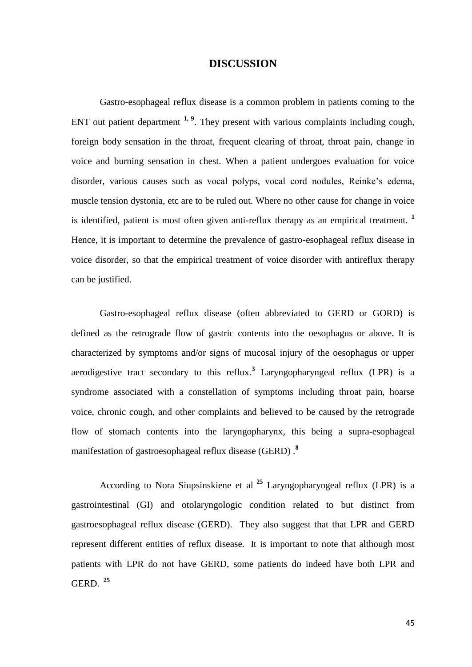### **DISCUSSION**

Gastro-esophageal reflux disease is a common problem in patients coming to the ENT out patient department <sup>1, 9</sup>. They present with various complaints including cough, foreign body sensation in the throat, frequent clearing of throat, throat pain, change in voice and burning sensation in chest. When a patient undergoes evaluation for voice disorder, various causes such as vocal polyps, vocal cord nodules, Reinke"s edema, muscle tension dystonia, etc are to be ruled out. Where no other cause for change in voice is identified, patient is most often given anti-reflux therapy as an empirical treatment. **<sup>1</sup>** Hence, it is important to determine the prevalence of gastro-esophageal reflux disease in voice disorder, so that the empirical treatment of voice disorder with antireflux therapy can be justified.

Gastro-esophageal reflux disease (often abbreviated to GERD or GORD) is defined as the retrograde flow of gastric contents into the oesophagus or above. It is characterized by symptoms and/or signs of mucosal injury of the oesophagus or upper aerodigestive tract secondary to this reflux.**<sup>3</sup>** Laryngopharyngeal reflux (LPR) is a syndrome associated with a constellation of symptoms including throat pain, hoarse voice, chronic cough, and other complaints and believed to be caused by the retrograde flow of stomach contents into the laryngopharynx, this being a supra-esophageal manifestation of gastroesophageal reflux disease (GERD) .**<sup>8</sup>**

According to Nora Siupsinskiene et al **<sup>25</sup>** Laryngopharyngeal reflux (LPR) is a gastrointestinal (GI) and otolaryngologic condition related to but distinct from gastroesophageal reflux disease (GERD). They also suggest that that LPR and GERD represent different entities of reflux disease. It is important to note that although most patients with LPR do not have GERD, some patients do indeed have both LPR and GERD. **<sup>25</sup>**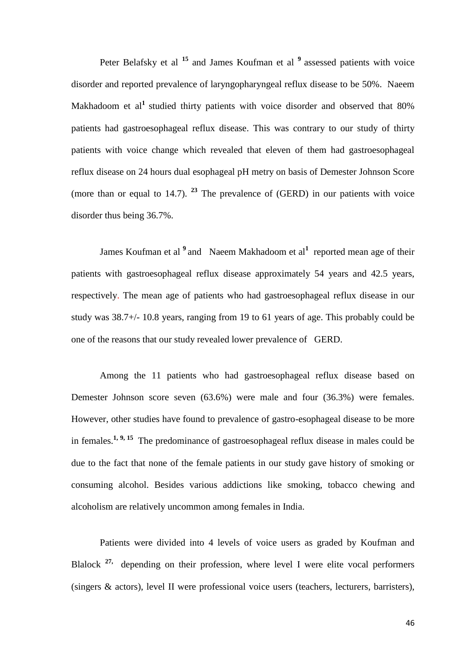Peter Belafsky et al <sup>15</sup> and James Koufman et al <sup>9</sup> assessed patients with voice disorder and reported prevalence of laryngopharyngeal reflux disease to be 50%. Naeem Makhadoom et al**<sup>1</sup>** studied thirty patients with voice disorder and observed that 80% patients had gastroesophageal reflux disease. This was contrary to our study of thirty patients with voice change which revealed that eleven of them had gastroesophageal reflux disease on 24 hours dual esophageal pH metry on basis of Demester Johnson Score (more than or equal to  $14.7$ ). <sup>23</sup> The prevalence of (GERD) in our patients with voice disorder thus being 36.7%.

James Koufman et al <sup>9</sup> and Naeem Makhadoom et al<sup>1</sup> reported mean age of their patients with gastroesophageal reflux disease approximately 54 years and 42.5 years, respectively. The mean age of patients who had gastroesophageal reflux disease in our study was 38.7+/- 10.8 years, ranging from 19 to 61 years of age. This probably could be one of the reasons that our study revealed lower prevalence of GERD.

Among the 11 patients who had gastroesophageal reflux disease based on Demester Johnson score seven (63.6%) were male and four (36.3%) were females. However, other studies have found to prevalence of gastro-esophageal disease to be more in females. **1, 9, <sup>15</sup>** The predominance of gastroesophageal reflux disease in males could be due to the fact that none of the female patients in our study gave history of smoking or consuming alcohol. Besides various addictions like smoking, tobacco chewing and alcoholism are relatively uncommon among females in India.

Patients were divided into 4 levels of voice users as graded by Koufman and Blalock <sup>27,</sup> depending on their profession, where level I were elite vocal performers (singers & actors), level II were professional voice users (teachers, lecturers, barristers),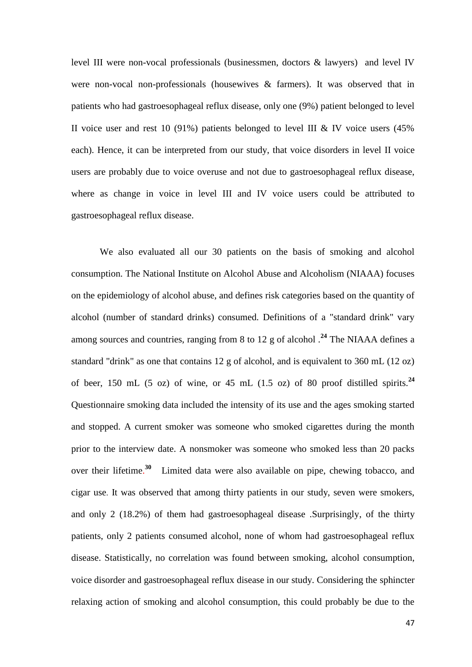level III were non-vocal professionals (businessmen, doctors & lawyers) and level IV were non-vocal non-professionals (housewives  $\&$  farmers). It was observed that in patients who had gastroesophageal reflux disease, only one (9%) patient belonged to level II voice user and rest 10 (91%) patients belonged to level III & IV voice users  $(45\%$ each). Hence, it can be interpreted from our study, that voice disorders in level II voice users are probably due to voice overuse and not due to gastroesophageal reflux disease, where as change in voice in level III and IV voice users could be attributed to gastroesophageal reflux disease.

We also evaluated all our 30 patients on the basis of smoking and alcohol consumption. The National Institute on Alcohol Abuse and Alcoholism (NIAAA) focuses on the epidemiology of alcohol abuse, and defines risk categories based on the quantity of alcohol (number of standard drinks) consumed. Definitions of a "standard drink" vary among sources and countries, ranging from 8 to 12 g of alcohol .**<sup>24</sup>** The NIAAA defines a standard "drink" as one that contains 12 g of alcohol, and is equivalent to 360 mL (12 oz) of beer, 150 mL (5 oz) of wine, or 45 mL (1.5 oz) of 80 proof distilled spirits.<sup>24</sup> Questionnaire smoking data included the intensity of its use and the ages smoking started and stopped. A current smoker was someone who smoked cigarettes during the month prior to the interview date. A nonsmoker was someone who smoked less than 20 packs over their lifetime. **<sup>30</sup>** Limited data were also available on pipe, chewing tobacco, and cigar use. It was observed that among thirty patients in our study, seven were smokers, and only 2 (18.2%) of them had gastroesophageal disease .Surprisingly, of the thirty patients, only 2 patients consumed alcohol, none of whom had gastroesophageal reflux disease. Statistically, no correlation was found between smoking, alcohol consumption, voice disorder and gastroesophageal reflux disease in our study. Considering the sphincter relaxing action of smoking and alcohol consumption, this could probably be due to the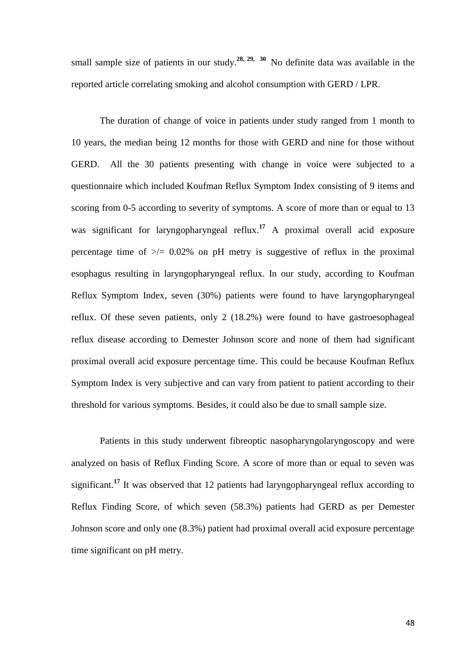small sample size of patients in our study.<sup>28, 29, 30</sup> No definite data was available in the reported article correlating smoking and alcohol consumption with GERD / LPR.

The duration of change of voice in patients under study ranged from 1 month to 10 years, the median being 12 months for those with GERD and nine for those without GERD. All the 30 patients presenting with change in voice were subjected to a questionnaire which included Koufman Reflux Symptom Index consisting of 9 items and scoring from 0-5 according to severity of symptoms. A score of more than or equal to 13 was significant for laryngopharyngeal reflux.<sup>17</sup> A proximal overall acid exposure percentage time of  $\gg$  = 0.02% on pH metry is suggestive of reflux in the proximal esophagus resulting in laryngopharyngeal reflux. In our study, according to Koufman Reflux Symptom Index, seven (30%) patients were found to have laryngopharyngeal reflux. Of these seven patients, only 2 (18.2%) were found to have gastroesophageal reflux disease according to Demester Johnson score and none of them had significant proximal overall acid exposure percentage time. This could be because Koufman Reflux Symptom Index is very subjective and can vary from patient to patient according to their threshold for various symptoms. Besides, it could also be due to small sample size.

Patients in this study underwent fibreoptic nasopharyngolaryngoscopy and were analyzed on basis of Reflux Finding Score. A score of more than or equal to seven was significant.**<sup>17</sup>** It was observed that 12 patients had laryngopharyngeal reflux according to Reflux Finding Score, of which seven (58.3%) patients had GERD as per Demester Johnson score and only one (8.3%) patient had proximal overall acid exposure percentage time significant on pH metry.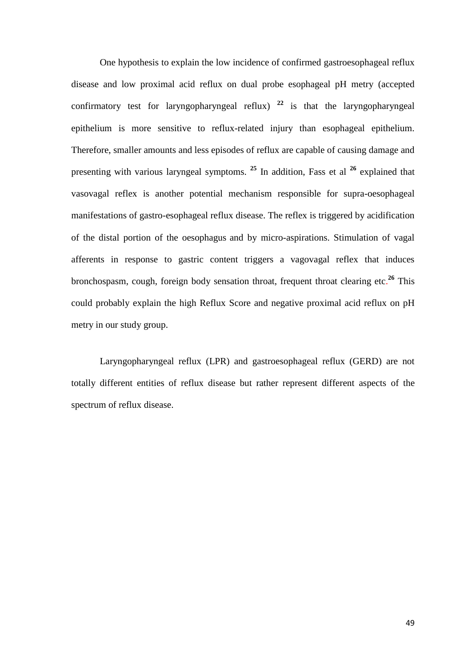One hypothesis to explain the low incidence of confirmed gastroesophageal reflux disease and low proximal acid reflux on dual probe esophageal pH metry (accepted confirmatory test for laryngopharyngeal reflux)  $22$  is that the laryngopharyngeal epithelium is more sensitive to reflux-related injury than esophageal epithelium. Therefore, smaller amounts and less episodes of reflux are capable of causing damage and presenting with various laryngeal symptoms. **<sup>25</sup>** In addition, Fass et al **<sup>26</sup>** explained that vasovagal reflex is another potential mechanism responsible for supra-oesophageal manifestations of gastro-esophageal reflux disease. The reflex is triggered by acidification of the distal portion of the oesophagus and by micro-aspirations. Stimulation of vagal afferents in response to gastric content triggers a vagovagal reflex that induces bronchospasm, cough, foreign body sensation throat, frequent throat clearing etc. **<sup>26</sup>** This could probably explain the high Reflux Score and negative proximal acid reflux on pH metry in our study group.

Laryngopharyngeal reflux (LPR) and gastroesophageal reflux (GERD) are not totally different entities of reflux disease but rather represent different aspects of the spectrum of reflux disease.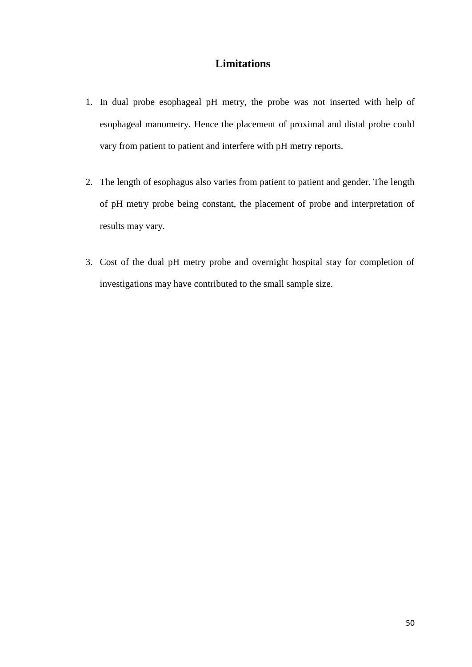# **Limitations**

- 1. In dual probe esophageal pH metry, the probe was not inserted with help of esophageal manometry. Hence the placement of proximal and distal probe could vary from patient to patient and interfere with pH metry reports.
- 2. The length of esophagus also varies from patient to patient and gender. The length of pH metry probe being constant, the placement of probe and interpretation of results may vary.
- 3. Cost of the dual pH metry probe and overnight hospital stay for completion of investigations may have contributed to the small sample size.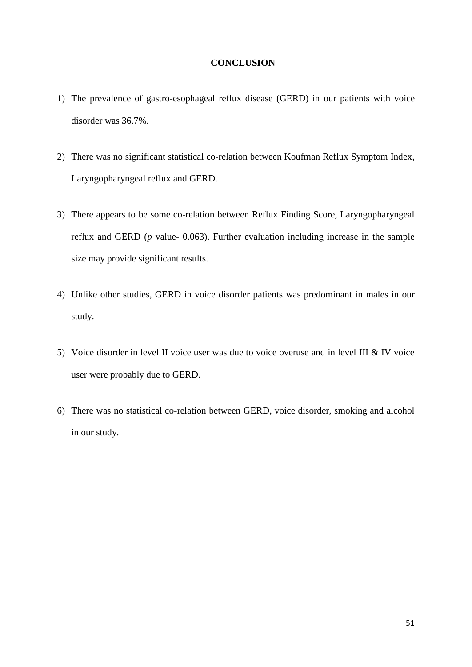#### **CONCLUSION**

- 1) The prevalence of gastro-esophageal reflux disease (GERD) in our patients with voice disorder was 36.7%.
- 2) There was no significant statistical co-relation between Koufman Reflux Symptom Index, Laryngopharyngeal reflux and GERD.
- 3) There appears to be some co-relation between Reflux Finding Score, Laryngopharyngeal reflux and GERD (*p* value- 0.063). Further evaluation including increase in the sample size may provide significant results.
- 4) Unlike other studies, GERD in voice disorder patients was predominant in males in our study.
- 5) Voice disorder in level II voice user was due to voice overuse and in level III & IV voice user were probably due to GERD.
- 6) There was no statistical co-relation between GERD, voice disorder, smoking and alcohol in our study.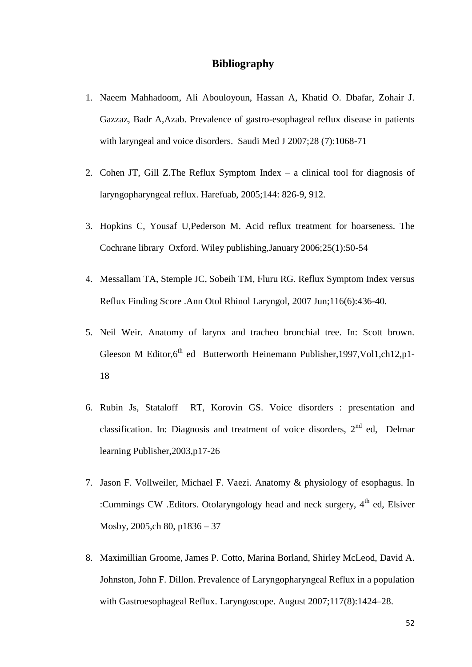### **Bibliography**

- 1. Naeem Mahhadoom, Ali Abouloyoun, Hassan A, Khatid O. Dbafar, Zohair J. Gazzaz, Badr A,Azab. Prevalence of gastro-esophageal reflux disease in patients with laryngeal and voice disorders. Saudi Med J 2007;28 (7):1068-71
- 2. Cohen JT, Gill Z.The Reflux Symptom Index a clinical tool for diagnosis of laryngopharyngeal reflux. Harefuab, 2005;144: 826-9, 912.
- 3. Hopkins C, Yousaf U,Pederson M. Acid reflux treatment for hoarseness. The Cochrane library Oxford. Wiley publishing,January 2006;25(1):50-54
- 4. Messallam TA, Stemple JC, Sobeih TM, Fluru RG. Reflux Symptom Index versus Reflux Finding Score .Ann Otol Rhinol Laryngol, 2007 Jun;116(6):436-40.
- 5. Neil Weir. Anatomy of larynx and tracheo bronchial tree. In: Scott brown. Gleeson M Editor, $6<sup>th</sup>$  ed Butterworth Heinemann Publisher, 1997, Vol1, ch12, p1-18
- 6. Rubin Js, Stataloff RT, Korovin GS. Voice disorders : presentation and classification. In: Diagnosis and treatment of voice disorders,  $2<sup>nd</sup>$  ed, Delmar learning Publisher,2003,p17-26
- 7. Jason F. Vollweiler, Michael F. Vaezi. Anatomy & physiology of esophagus. In :Cummings CW .Editors. Otolaryngology head and neck surgery, 4<sup>th</sup> ed, Elsiver Mosby, 2005,ch 80, p1836 – 37
- 8. Maximillian Groome, James P. Cotto, Marina Borland, Shirley McLeod, David A. Johnston, John F. Dillon. Prevalence of Laryngopharyngeal Reflux in a population with Gastroesophageal Reflux. Laryngoscope. August 2007[;117\(8\):1](http://onlinelibrary.wiley.com/doi/10.1002/lary.v117:8/issuetoc)424–28.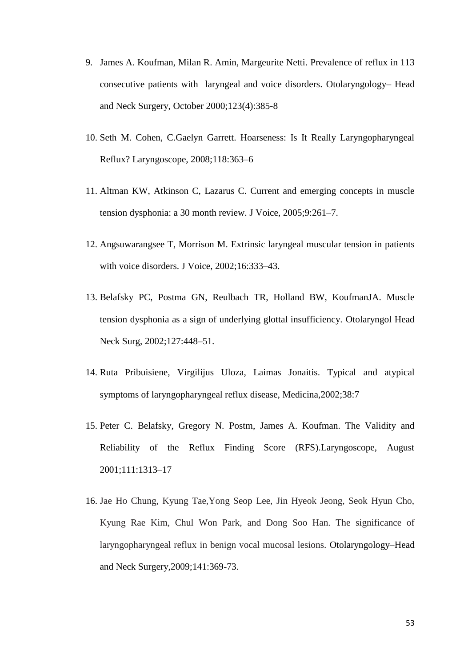- 9. James A. Koufman, Milan R. Amin, Margeurite Netti. Prevalence of reflux in 113 consecutive patients with laryngeal and voice disorders. Otolaryngology– Head and Neck Surgery, October 2000;123(4):385-8
- 10. Seth M. Cohen, C.Gaelyn Garrett. Hoarseness: Is It Really Laryngopharyngeal Reflux? Laryngoscope, 2008;118:363–6
- 11. Altman KW, Atkinson C, Lazarus C. Current and emerging concepts in muscle tension dysphonia: a 30 month review. J Voice, 2005;9:261–7.
- 12. Angsuwarangsee T, Morrison M. Extrinsic laryngeal muscular tension in patients with voice disorders. J Voice, 2002;16:333–43.
- 13. Belafsky PC, Postma GN, Reulbach TR, Holland BW, KoufmanJA. Muscle tension dysphonia as a sign of underlying glottal insufficiency. Otolaryngol Head Neck Surg, 2002;127:448–51.
- 14. Ruta Pribuisiene, Virgilijus Uloza, Laimas Jonaitis. Typical and atypical symptoms of laryngopharyngeal reflux disease, Medicina,2002;38:7
- 15. Peter C. Belafsky, Gregory N. Postm, James A. Koufman. The Validity and Reliability of the Reflux Finding Score (RFS).Laryngoscope, August 2001;111:1313–17
- 16. Jae Ho Chung, Kyung Tae,Yong Seop Lee, Jin Hyeok Jeong, Seok Hyun Cho, Kyung Rae Kim, Chul Won Park, and Dong Soo Han. The significance of laryngopharyngeal reflux in benign vocal mucosal lesions. Otolaryngology–Head and Neck Surgery,2009;141:369-73.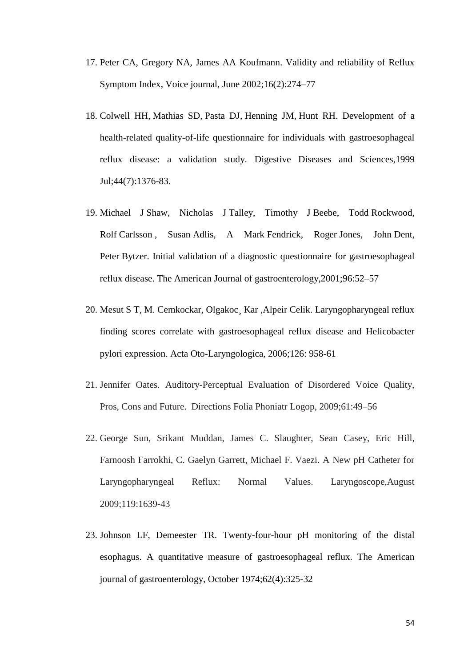- 17. Peter CA, Gregory NA, James AA Koufmann. Validity and reliability of Reflux Symptom Index, Voice journal, June 2002;16(2):274–77
- 18. [Colwell HH,](http://www.ncbi.nlm.nih.gov/pubmed?term=%22Colwell%20HH%22%5BAuthor%5D) [Mathias SD,](http://www.ncbi.nlm.nih.gov/pubmed?term=%22Mathias%20SD%22%5BAuthor%5D) [Pasta DJ,](http://www.ncbi.nlm.nih.gov/pubmed?term=%22Pasta%20DJ%22%5BAuthor%5D) [Henning JM,](http://www.ncbi.nlm.nih.gov/pubmed?term=%22Henning%20JM%22%5BAuthor%5D) [Hunt RH.](http://www.ncbi.nlm.nih.gov/pubmed?term=%22Hunt%20RH%22%5BAuthor%5D) Development of a health-related quality-of-life questionnaire for individuals with gastroesophageal reflux disease: a validation study. Digestive Diseases and Sciences*,*1999 Jul;44(7):1376-83.
- 19. Michael J Shaw, Nicholas J Talley, Timothy J Beebe, Todd Rockwood, Rolf Carlsson , Susan Adlis, A Mark Fendrick, Roger Jones, John Dent, Peter Bytzer. Initial validation of a diagnostic questionnaire for gastroesophageal reflux disease. The American Journal of gastroenterology,2001;96:52–57
- 20. Mesut S T, M. Cemkockar, Olgakoc¸ Kar ,Alpeir Celik. Laryngopharyngeal reflux finding scores correlate with gastroesophageal reflux disease and Helicobacter pylori expression. Acta Oto-Laryngologica, 2006;126: 958-61
- 21. Jennifer Oates. Auditory-Perceptual Evaluation of Disordered Voice Quality, Pros, Cons and Future. Directions Folia Phoniatr Logop, 2009;61:49–56
- 22. George Sun, Srikant Muddan, James C. Slaughter, Sean Casey, Eric Hill, Farnoosh Farrokhi, C. Gaelyn Garrett, Michael F. Vaezi. A New pH Catheter for Laryngopharyngeal Reflux: Normal Values. Laryngoscope,August 2009;119:1639-43
- 23. Johnson LF, Demeester TR. Twenty-four-hour pH monitoring of the distal esophagus. A quantitative measure of gastroesophageal reflux. The American journal of gastroenterology, October 1974;62(4):325-32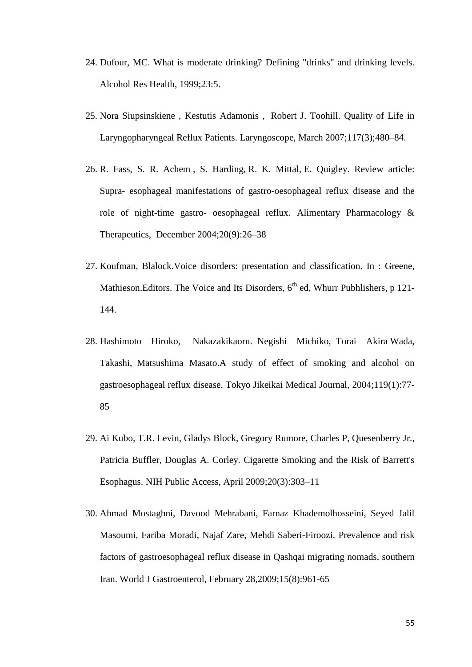- 24. [Dufour, MC. What is moderate drinking?](http://www.uptodate.com/online/content/abstract.do?topicKey=screenin%2F12238&refNum=6) Defining "drinks" and drinking levels. [Alcohol Res Health, 1999;23:5.](http://www.uptodate.com/online/content/abstract.do?topicKey=screenin%2F12238&refNum=6)
- 25. Nora Siupsinskiene , Kestutis Adamonis , Robert J. Toohill. Quality of Life in Laryngopharyngeal Reflux Patients. Laryngoscope, March 2007[;117\(3\);4](http://onlinelibrary.wiley.com/doi/10.1002/lary.v117:3/issuetoc)80–84.
- 26. R. Fass, S. R. Achem , S. Harding, R. K. Mittal, E. Quigley. Review article: Supra- esophageal manifestations of gastro-oesophageal reflux disease and the role of night-time gastro- oesophageal reflux. Alimentary Pharmacology & Therapeutics, December 2004[;20\(9\):2](http://onlinelibrary.wiley.com/doi/10.1111/apt.2004.20.issue-s9/issuetoc)6–38
- 27. Koufman, Blalock.Voice disorders: presentation and classification. In : Greene, Mathieson. Editors. The Voice and Its Disorders,  $6<sup>th</sup>$  ed, Whurr Pubhlishers, p 121-144.
- 28. Hashimoto Hiroko, Nakazakikaoru. Negishi Michiko, Torai Akira Wada, Takashi, Matsushima Masato.A study of effect of smoking and alcohol on gastroesophageal reflux disease. Tokyo Jikeikai Medical Journal, 2004;119(1):77- 85
- 29. Ai Kubo, T.R. Levin, Gladys Block, Gregory Rumore, Charles P, Quesenberry Jr., Patricia Buffler, Douglas A. Corley. Cigarette Smoking and the Risk of Barrett's Esophagus. NIH Public Access, April 2009;20(3):303–11
- 30. Ahmad Mostaghni, Davood Mehrabani, Farnaz Khademolhosseini, Seyed Jalil Masoumi, Fariba Moradi, Najaf Zare, Mehdi Saberi-Firoozi. Prevalence and risk factors of gastroesophageal reflux disease in Qashqai migrating nomads, southern Iran. World J Gastroenterol, February 28,2009;15(8):961-65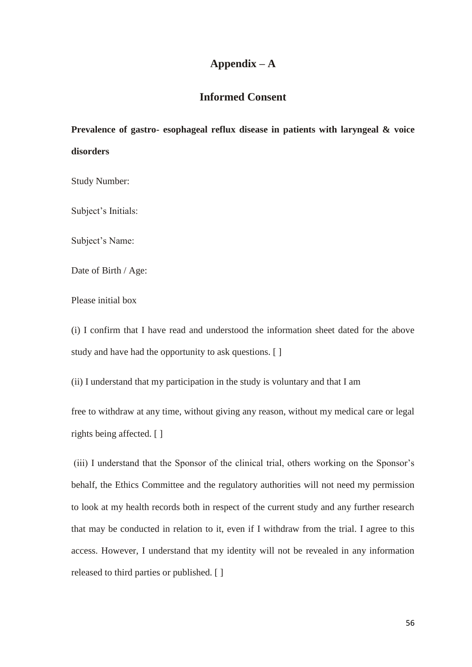# **Appendix – A**

# **Informed Consent**

**Prevalence of gastro- esophageal reflux disease in patients with laryngeal & voice disorders**

Study Number:

Subject's Initials:

Subject's Name:

Date of Birth / Age:

Please initial box

(i) I confirm that I have read and understood the information sheet dated for the above study and have had the opportunity to ask questions. [ ]

(ii) I understand that my participation in the study is voluntary and that I am

free to withdraw at any time, without giving any reason, without my medical care or legal rights being affected. [ ]

(iii) I understand that the Sponsor of the clinical trial, others working on the Sponsor"s behalf, the Ethics Committee and the regulatory authorities will not need my permission to look at my health records both in respect of the current study and any further research that may be conducted in relation to it, even if I withdraw from the trial. I agree to this access. However, I understand that my identity will not be revealed in any information released to third parties or published. [ ]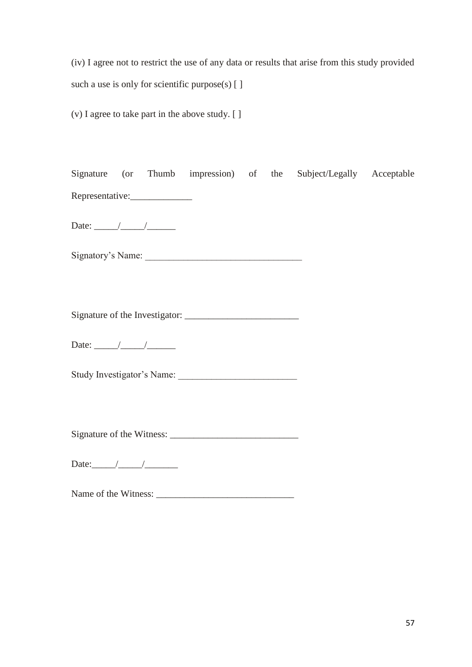(iv) I agree not to restrict the use of any data or results that arise from this study provided such a use is only for scientific purpose(s) [ ]

(v) I agree to take part in the above study. [ ]

|                                                                                                                                                                                                                                                                                                                                                                                                                          |  |                            |  | Signature (or Thumb impression) of the Subject/Legally Acceptable |  |
|--------------------------------------------------------------------------------------------------------------------------------------------------------------------------------------------------------------------------------------------------------------------------------------------------------------------------------------------------------------------------------------------------------------------------|--|----------------------------|--|-------------------------------------------------------------------|--|
| Representative:                                                                                                                                                                                                                                                                                                                                                                                                          |  |                            |  |                                                                   |  |
|                                                                                                                                                                                                                                                                                                                                                                                                                          |  |                            |  |                                                                   |  |
|                                                                                                                                                                                                                                                                                                                                                                                                                          |  |                            |  |                                                                   |  |
|                                                                                                                                                                                                                                                                                                                                                                                                                          |  |                            |  |                                                                   |  |
|                                                                                                                                                                                                                                                                                                                                                                                                                          |  |                            |  |                                                                   |  |
| Date: $\frac{1}{\sqrt{1-\frac{1}{2}}}\frac{1}{\sqrt{1-\frac{1}{2}}}\frac{1}{\sqrt{1-\frac{1}{2}}}\frac{1}{\sqrt{1-\frac{1}{2}}}\frac{1}{\sqrt{1-\frac{1}{2}}}\frac{1}{\sqrt{1-\frac{1}{2}}}\frac{1}{\sqrt{1-\frac{1}{2}}}\frac{1}{\sqrt{1-\frac{1}{2}}}\frac{1}{\sqrt{1-\frac{1}{2}}}\frac{1}{\sqrt{1-\frac{1}{2}}}\frac{1}{\sqrt{1-\frac{1}{2}}}\frac{1}{\sqrt{1-\frac{1}{2}}}\frac{1}{\sqrt{1-\frac{1}{2}}}\frac{1}{\$ |  |                            |  |                                                                   |  |
|                                                                                                                                                                                                                                                                                                                                                                                                                          |  | Study Investigator's Name: |  |                                                                   |  |
|                                                                                                                                                                                                                                                                                                                                                                                                                          |  |                            |  |                                                                   |  |
|                                                                                                                                                                                                                                                                                                                                                                                                                          |  |                            |  |                                                                   |  |
|                                                                                                                                                                                                                                                                                                                                                                                                                          |  |                            |  |                                                                   |  |

Name of the Witness: \_\_\_\_\_\_\_\_\_\_\_\_\_\_\_\_\_\_\_\_\_\_\_\_\_\_\_\_\_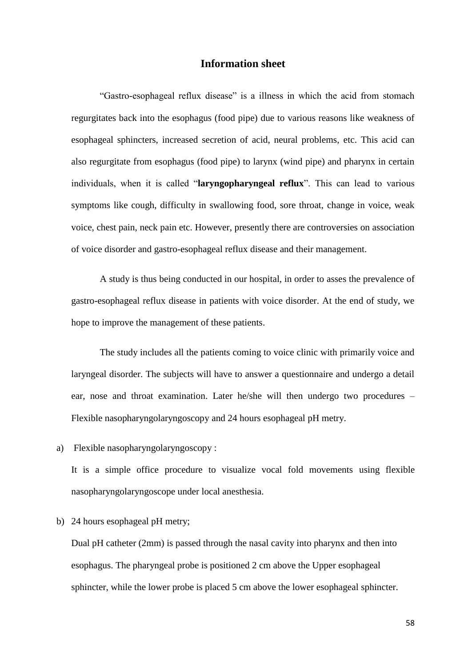### **Information sheet**

"Gastro-esophageal reflux disease" is a illness in which the acid from stomach regurgitates back into the esophagus (food pipe) due to various reasons like weakness of esophageal sphincters, increased secretion of acid, neural problems, etc. This acid can also regurgitate from esophagus (food pipe) to larynx (wind pipe) and pharynx in certain individuals, when it is called "**laryngopharyngeal reflux**". This can lead to various symptoms like cough, difficulty in swallowing food, sore throat, change in voice, weak voice, chest pain, neck pain etc. However, presently there are controversies on association of voice disorder and gastro-esophageal reflux disease and their management.

A study is thus being conducted in our hospital, in order to asses the prevalence of gastro-esophageal reflux disease in patients with voice disorder. At the end of study, we hope to improve the management of these patients.

The study includes all the patients coming to voice clinic with primarily voice and laryngeal disorder. The subjects will have to answer a questionnaire and undergo a detail ear, nose and throat examination. Later he/she will then undergo two procedures – Flexible nasopharyngolaryngoscopy and 24 hours esophageal pH metry.

a) Flexible nasopharyngolaryngoscopy :

It is a simple office procedure to visualize vocal fold movements using flexible nasopharyngolaryngoscope under local anesthesia.

b) 24 hours esophageal pH metry;

Dual pH catheter (2mm) is passed through the nasal cavity into pharynx and then into esophagus. The pharyngeal probe is positioned 2 cm above the Upper esophageal sphincter, while the lower probe is placed 5 cm above the lower esophageal sphincter.

58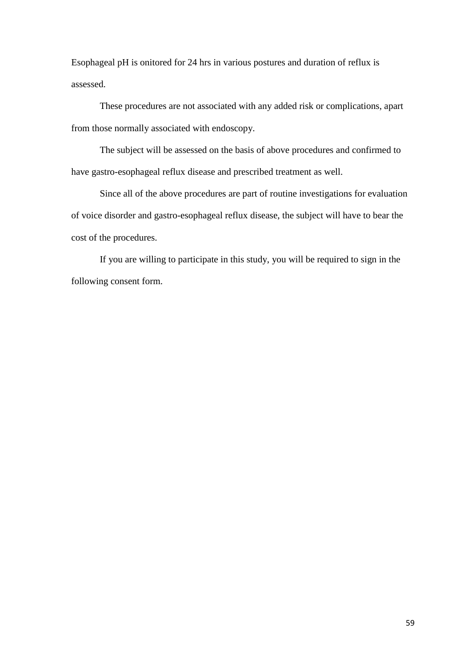Esophageal pH is onitored for 24 hrs in various postures and duration of reflux is assessed.

These procedures are not associated with any added risk or complications, apart from those normally associated with endoscopy.

The subject will be assessed on the basis of above procedures and confirmed to have gastro-esophageal reflux disease and prescribed treatment as well.

Since all of the above procedures are part of routine investigations for evaluation of voice disorder and gastro-esophageal reflux disease, the subject will have to bear the cost of the procedures.

If you are willing to participate in this study, you will be required to sign in the following consent form.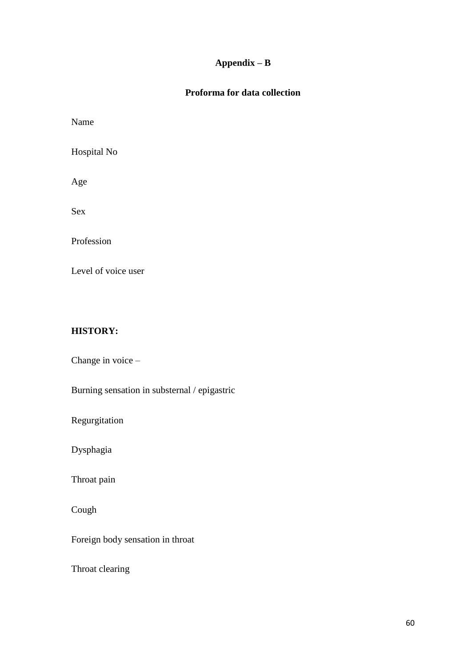# **Appendix – B**

# **Proforma for data collection**

Name

Hospital No

Age

Sex

Profession

Level of voice user

### **HISTORY:**

Change in voice –

Burning sensation in substernal / epigastric

Regurgitation

Dysphagia

Throat pain

Cough

Foreign body sensation in throat

Throat clearing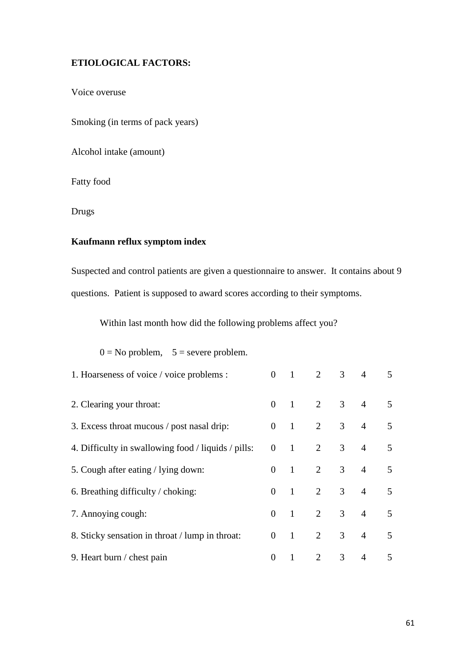### **ETIOLOGICAL FACTORS:**

Voice overuse

Smoking (in terms of pack years)

Alcohol intake (amount)

Fatty food

Drugs

# **Kaufmann reflux symptom index**

Suspected and control patients are given a questionnaire to answer. It contains about 9 questions. Patient is supposed to award scores according to their symptoms.

Within last month how did the following problems affect you?

| 1. Hoarseness of voice / voice problems :           | $\Omega$ | $\overline{1}$ |                             | $2 \quad 3$    | $\overline{4}$ | 5                       |
|-----------------------------------------------------|----------|----------------|-----------------------------|----------------|----------------|-------------------------|
| 2. Clearing your throat:                            | $\Omega$ |                | $1 \quad 2 \quad 3 \quad 4$ |                |                | $\mathcal{F}$           |
| 3. Excess throat mucous / post nasal drip:          | $\Omega$ | $\sim$ 1       | $\overline{2}$              | 3 <sup>7</sup> | $\overline{4}$ | $\overline{5}$          |
| 4. Difficulty in swallowing food / liquids / pills: | $\theta$ | $\sim$ 1       | $\overline{2}$              | 3 <sup>7</sup> | $\overline{4}$ | $\overline{5}$          |
| 5. Cough after eating / lying down:                 | $\Omega$ | $\overline{1}$ | $\overline{2}$              | 3 <sup>7</sup> | $\overline{4}$ | $\mathcal{F}$           |
| 6. Breathing difficulty / choking:                  | $\Omega$ | $\overline{1}$ | $\overline{2}$              | 3 <sup>7</sup> | $\overline{4}$ | $\overline{\mathbf{z}}$ |
| 7. Annoying cough:                                  | $\Omega$ | $\overline{1}$ | $\overline{2}$              | 3 <sup>7</sup> | $\overline{4}$ | $\overline{\mathbf{z}}$ |
| 8. Sticky sensation in throat / lump in throat:     | $\theta$ | $\overline{1}$ | $\overline{2}$              | 3 <sup>7</sup> | $\overline{4}$ | $\overline{5}$          |
| 9. Heart burn / chest pain                          | $\theta$ | $\mathbf{1}$   | $\overline{2}$              | 3              | $\overline{4}$ | $\overline{5}$          |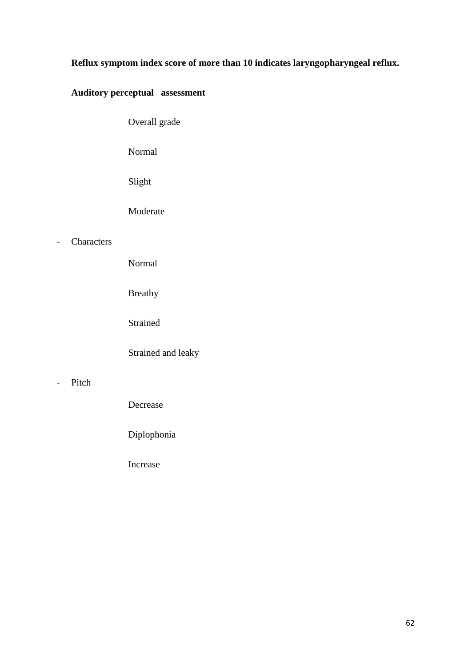# **Reflux symptom index score of more than 10 indicates laryngopharyngeal reflux.**

# **Auditory perceptual assessment**

Overall grade

Normal

Slight

Moderate

### - Characters

Normal

Breathy

Strained

Strained and leaky

### - Pitch

Decrease

Diplophonia

Increase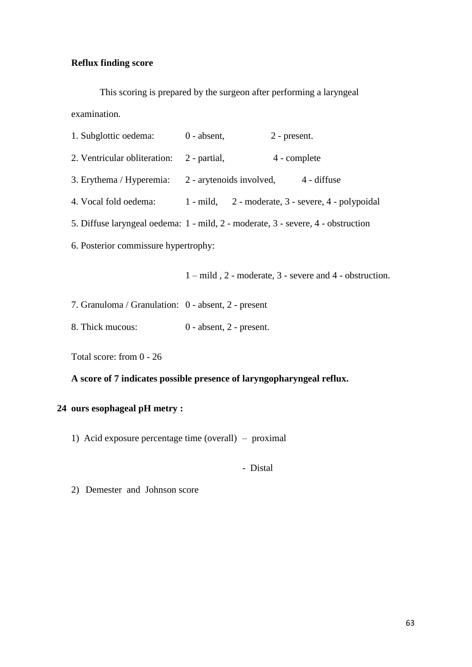# **Reflux finding score**

This scoring is prepared by the surgeon after performing a laryngeal examination.

| 1. Subglottic oedema: 0 - absent,                                                |              | 2 - present.                                                       |  |  |  |  |  |  |
|----------------------------------------------------------------------------------|--------------|--------------------------------------------------------------------|--|--|--|--|--|--|
| 2. Ventricular obliteration:                                                     | 2 - partial, | 4 - complete                                                       |  |  |  |  |  |  |
| 3. Erythema / Hyperemia: 2 - arytenoids involved, 4 - diffuse                    |              |                                                                    |  |  |  |  |  |  |
| 4. Vocal fold oedema:                                                            |              | 1 - mild, 2 - moderate, 3 - severe, 4 - polypoidal                 |  |  |  |  |  |  |
| 5. Diffuse laryngeal oedema: 1 - mild, 2 - moderate, 3 - severe, 4 - obstruction |              |                                                                    |  |  |  |  |  |  |
| 6. Posterior commissure hypertrophy:                                             |              |                                                                    |  |  |  |  |  |  |
|                                                                                  |              | $1 - mild$ , $2 - moderate$ , $3 - severe$ and $4 - obstruction$ . |  |  |  |  |  |  |
| 7. Granuloma / Granulation: 0 - absent, 2 - present                              |              |                                                                    |  |  |  |  |  |  |

8. Thick mucous: 0 - absent, 2 - present.

Total score: from 0 - 26

# **A score of 7 indicates possible presence of laryngopharyngeal reflux.**

# **24 ours esophageal pH metry :**

1) Acid exposure percentage time (overall) – proximal

- Distal

2) Demester and Johnson score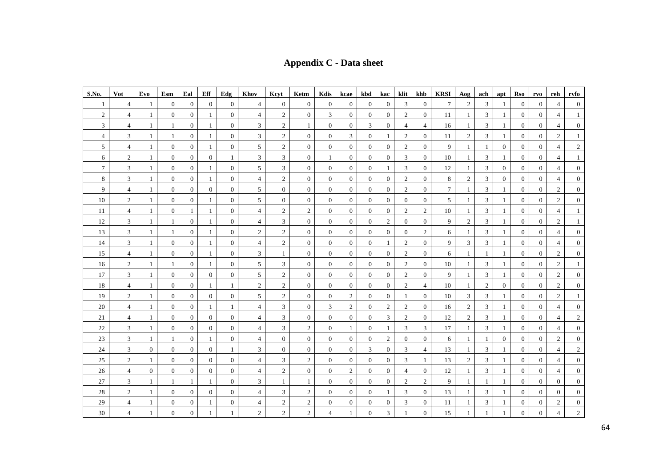**Appendix C - Data sheet**

| S.No.            | Vot            | Evo          | Esm              | Eal              | Eff              | Edg              | Khov                     | Keyt             | Ketm           | Kdis             | kcae             | kbd              | kac              | klit           | khb              | <b>KRSI</b> | Aog            | ach            | apt            | Rso              | rvo              | reh            | rvfo           |
|------------------|----------------|--------------|------------------|------------------|------------------|------------------|--------------------------|------------------|----------------|------------------|------------------|------------------|------------------|----------------|------------------|-------------|----------------|----------------|----------------|------------------|------------------|----------------|----------------|
| 1                | 4              | 1            | $\boldsymbol{0}$ | $\overline{0}$   | $\boldsymbol{0}$ | $\mathbf{0}$     | 4                        | $\boldsymbol{0}$ | $\mathbf{0}$   | $\boldsymbol{0}$ | $\overline{0}$   | $\mathbf{0}$     | $\boldsymbol{0}$ | 3              | $\mathbf{0}$     | 7           | $\overline{2}$ | 3              | -1             | $\boldsymbol{0}$ | $\mathbf{0}$     | 4              | $\overline{0}$ |
| $\sqrt{2}$       | $\overline{4}$ | 1            | $\mathbf{0}$     | $\mathbf{0}$     | 1                | $\overline{0}$   | $\overline{\mathcal{A}}$ | $\overline{2}$   | $\overline{0}$ | 3                | $\mathbf{0}$     | $\overline{0}$   | $\boldsymbol{0}$ | $\overline{2}$ | $\overline{0}$   | 11          | 1              | 3              | -1             | $\mathbf{0}$     | $\mathbf{0}$     | 4              | $\mathbf{1}$   |
| 3                | $\overline{4}$ | $\mathbf{1}$ | $\mathbf{1}$     | $\overline{0}$   | $\mathbf{1}$     | $\overline{0}$   | 3                        | $\overline{2}$   | $\mathbf{1}$   | $\boldsymbol{0}$ | $\overline{0}$   | 3                | $\overline{0}$   | $\overline{4}$ | $\overline{4}$   | 16          | 1              | 3              |                | $\mathbf{0}$     | $\overline{0}$   | $\overline{4}$ | $\overline{0}$ |
| 4                | 3              | 1            | $\mathbf{1}$     | $\overline{0}$   | 1                | $\boldsymbol{0}$ | $\mathfrak{Z}$           | $\sqrt{2}$       | $\overline{0}$ | $\boldsymbol{0}$ | 3                | $\mathbf{0}$     | 1                | $\overline{c}$ | $\mathbf{0}$     | 11          | $\overline{2}$ | 3              |                | $\mathbf{0}$     | $\mathbf{0}$     | $\overline{2}$ | $\mathbf{1}$   |
| 5                | $\overline{4}$ | $\mathbf{1}$ | $\overline{0}$   | $\overline{0}$   | $\mathbf{1}$     | $\overline{0}$   | 5                        | $\sqrt{2}$       | $\overline{0}$ | $\mathbf{0}$     | $\mathbf{0}$     | $\overline{0}$   | $\theta$         | 2              | $\overline{0}$   | 9           | 1              | $\mathbf{1}$   | $\overline{0}$ | $\mathbf{0}$     | $\overline{0}$   | $\overline{4}$ | $\overline{2}$ |
| 6                | $\overline{c}$ | 1            | $\overline{0}$   | $\overline{0}$   | $\boldsymbol{0}$ | 1                | 3                        | 3                | $\overline{0}$ | -1               | $\mathbf{0}$     | $\overline{0}$   | $\boldsymbol{0}$ | 3              | $\mathbf{0}$     | 10          | -1             | 3              | 1              | $\mathbf{0}$     | $\mathbf{0}$     | 4              | 1              |
| $\boldsymbol{7}$ | 3              | $\mathbf{1}$ | $\mathbf{0}$     | $\overline{0}$   | $\mathbf{1}$     | $\mathbf{0}$     | 5                        | $\mathfrak{Z}$   | $\overline{0}$ | $\mathbf{0}$     | $\mathbf{0}$     | $\overline{0}$   | 1                | 3              | $\boldsymbol{0}$ | 12          | 1              | 3              | $\overline{0}$ | $\mathbf{0}$     | $\mathbf{0}$     | 4              | $\mathbf{0}$   |
| 8                | 3              | $\mathbf{1}$ | $\overline{0}$   | $\overline{0}$   | $\mathbf{1}$     | $\theta$         | $\overline{4}$           | $\overline{2}$   | $\overline{0}$ | $\overline{0}$   | $\overline{0}$   | $\overline{0}$   | $\mathbf{0}$     | 2              | $\overline{0}$   | 8           | 2              | 3              | $\overline{0}$ | $\mathbf{0}$     | $\overline{0}$   | $\overline{4}$ | $\overline{0}$ |
| 9                | 4              | 1            | $\mathbf{0}$     | $\overline{0}$   | $\boldsymbol{0}$ | $\boldsymbol{0}$ | 5                        | $\boldsymbol{0}$ | $\mathbf{0}$   | $\mathbf{0}$     | $\mathbf{0}$     | $\boldsymbol{0}$ | $\boldsymbol{0}$ | $\overline{2}$ | $\mathbf{0}$     | 7           | 1              | 3              |                | $\mathbf{0}$     | $\mathbf{0}$     | $\overline{c}$ | $\overline{0}$ |
| 10               | $\overline{c}$ | $\mathbf{1}$ | $\mathbf{0}$     | $\overline{0}$   | $\mathbf{1}$     | $\overline{0}$   | 5                        | $\overline{0}$   | $\overline{0}$ | $\mathbf{0}$     | $\overline{0}$   | $\overline{0}$   | $\theta$         | $\mathbf{0}$   | $\overline{0}$   | 5           | 1              | 3              | 1              | $\mathbf{0}$     | $\overline{0}$   | $\mathbf{2}$   | $\overline{0}$ |
| 11               | 4              | $\mathbf{1}$ | $\mathbf{0}$     | $\mathbf{1}$     | 1                | $\overline{0}$   | $\overline{4}$           | $\overline{2}$   | $\overline{2}$ | $\overline{0}$   | $\overline{0}$   | $\overline{0}$   | $\boldsymbol{0}$ | $\overline{2}$ | $\mathbf{2}$     | 10          | 1              | 3              | 1              | $\mathbf{0}$     | $\mathbf{0}$     | 4              | $\mathbf{1}$   |
| 12               | $\mathfrak{Z}$ | $\mathbf{1}$ | 1                | $\overline{0}$   | $\mathbf{1}$     | $\boldsymbol{0}$ | $\overline{4}$           | $\mathfrak{Z}$   | $\overline{0}$ | $\overline{0}$   | $\mathbf{0}$     | $\overline{0}$   | $\overline{2}$   | $\overline{0}$ | $\overline{0}$   | 9           | $\overline{2}$ | 3              | 1              | $\mathbf{0}$     | $\mathbf{0}$     | $\overline{c}$ | $\mathbf{1}$   |
| 13               | 3              | 1            | 1                | $\overline{0}$   | 1                | $\overline{0}$   | $\mathbf{2}$             | $\overline{2}$   | $\overline{0}$ | $\overline{0}$   | $\mathbf{0}$     | $\overline{0}$   | $\boldsymbol{0}$ | $\overline{0}$ | $\mathbf{2}$     | 6           | 1              | 3              |                | $\mathbf{0}$     | $\mathbf{0}$     | 4              | $\overline{0}$ |
| 14               | 3              | 1            | $\mathbf{0}$     | $\overline{0}$   | 1                | $\overline{0}$   | $\overline{4}$           | $\overline{2}$   | $\overline{0}$ | $\mathbf{0}$     | $\mathbf{0}$     | $\mathbf{0}$     | 1                | $\overline{c}$ | $\mathbf{0}$     | 9           | 3              | 3              |                | $\mathbf{0}$     | $\mathbf{0}$     | $\overline{4}$ | $\overline{0}$ |
| 15               | $\overline{4}$ | $\mathbf{1}$ | $\overline{0}$   | $\overline{0}$   | 1                | $\theta$         | 3                        | $\mathbf{1}$     | $\overline{0}$ | $\overline{0}$   | $\overline{0}$   | $\overline{0}$   | $\theta$         | 2              | $\overline{0}$   | 6           | 1              | 1              | 1              | $\mathbf{0}$     | $\overline{0}$   | 2              | $\overline{0}$ |
| 16               | $\overline{c}$ | 1            | 1                | $\overline{0}$   | $\mathbf{1}$     | $\overline{0}$   | 5                        | 3                | $\overline{0}$ | $\overline{0}$   | $\mathbf{0}$     | $\overline{0}$   | $\theta$         | $\overline{c}$ | $\overline{0}$   | 10          | 1              | 3              | 1              | $\mathbf{0}$     | $\overline{0}$   | $\overline{2}$ | $\mathbf{1}$   |
| 17               | 3              | $\mathbf{1}$ | $\overline{0}$   | $\overline{0}$   | $\overline{0}$   | $\overline{0}$   | 5                        | $\overline{2}$   | $\overline{0}$ | $\mathbf{0}$     | $\mathbf{0}$     | $\overline{0}$   | $\mathbf{0}$     | $\overline{2}$ | $\mathbf{0}$     | 9           | 1              | 3              | 1              | $\mathbf{0}$     | $\overline{0}$   | $\overline{2}$ | $\overline{0}$ |
| 18               | 4              | 1            | $\mathbf{0}$     | $\overline{0}$   | $\mathbf{1}$     | $\mathbf{1}$     | $\boldsymbol{2}$         | $\overline{c}$   | $\overline{0}$ | $\mathbf{0}$     | $\mathbf{0}$     | $\overline{0}$   | $\boldsymbol{0}$ | $\overline{c}$ | $\overline{4}$   | 10          | 1              | $\overline{2}$ | $\mathbf{0}$   | $\mathbf{0}$     | $\mathbf{0}$     | $\overline{2}$ | $\mathbf{0}$   |
| 19               | $\overline{c}$ | 1            | $\mathbf{0}$     | $\overline{0}$   | $\overline{0}$   | $\overline{0}$   | 5                        | $\overline{2}$   | $\mathbf{0}$   | $\overline{0}$   | $\overline{c}$   | $\overline{0}$   | $\boldsymbol{0}$ | 1              | $\overline{0}$   | 10          | 3              | 3              | 1              | $\mathbf{0}$     | $\mathbf{0}$     | $\overline{2}$ | $\mathbf{1}$   |
| 20               | 4              | 1            | $\mathbf{0}$     | $\mathbf{0}$     | 1                | $\mathbf{1}$     | 4                        | $\mathfrak{Z}$   | $\overline{0}$ | 3                | $\overline{2}$   | $\overline{0}$   | $\overline{c}$   | $\overline{2}$ | $\mathbf{0}$     | 16          | 2              | 3              | 1              | $\boldsymbol{0}$ | $\mathbf{0}$     | 4              | $\overline{0}$ |
| $21\,$           | $\overline{4}$ | $\mathbf{1}$ | $\mathbf{0}$     | $\overline{0}$   | $\overline{0}$   | $\overline{0}$   | $\overline{4}$           | 3                | $\overline{0}$ | $\overline{0}$   | $\mathbf{0}$     | $\overline{0}$   | 3                | $\overline{c}$ | $\overline{0}$   | 12          | $\sqrt{2}$     | 3              | 1              | $\mathbf{0}$     | $\overline{0}$   | 4              | $\overline{2}$ |
| $22\,$           | 3              | 1            | $\overline{0}$   | $\overline{0}$   | $\mathbf{0}$     | $\overline{0}$   | $\overline{4}$           | $\mathfrak{Z}$   | 2              | $\mathbf{0}$     | 1                | $\overline{0}$   | 1                | 3              | 3                | 17          | 1              | 3              | 1              | $\boldsymbol{0}$ | $\mathbf{0}$     | 4              | $\overline{0}$ |
| $23\,$           | 3              | 1            | $\mathbf{1}$     | $\mathbf{0}$     | $\mathbf{1}$     | $\overline{0}$   | $\overline{4}$           | $\mathbf{0}$     | $\overline{0}$ | $\overline{0}$   | $\mathbf{0}$     | $\overline{0}$   | $\mathbf{2}$     | $\overline{0}$ | $\overline{0}$   | 6           | 1              | $\mathbf{1}$   | $\overline{0}$ | $\boldsymbol{0}$ | $\mathbf{0}$     | $\overline{2}$ | $\overline{0}$ |
| 24               | 3              | $\mathbf{0}$ | $\overline{0}$   | $\overline{0}$   | $\mathbf{0}$     | -1               | 3                        | $\boldsymbol{0}$ | $\mathbf{0}$   | $\mathbf{0}$     | $\overline{0}$   | 3                | $\overline{0}$   | 3              | 4                | 13          | -1             | 3              | 1              | $\boldsymbol{0}$ | $\mathbf{0}$     | $\overline{4}$ | $\overline{2}$ |
| 25               | $\overline{c}$ | $\mathbf{1}$ | $\mathbf{0}$     | $\mathbf{0}$     | $\boldsymbol{0}$ | $\overline{0}$   | $\overline{4}$           | 3                | 2              | $\mathbf{0}$     | $\mathbf{0}$     | $\overline{0}$   | $\boldsymbol{0}$ | 3              | 1                | 13          | 2              | 3              |                | $\boldsymbol{0}$ | $\mathbf{0}$     | 4              | $\overline{0}$ |
| 26               | $\overline{4}$ | $\mathbf{0}$ | $\mathbf{0}$     | $\mathbf{0}$     | $\overline{0}$   | $\overline{0}$   | $\overline{4}$           | $\overline{2}$   | $\overline{0}$ | $\overline{0}$   | $\overline{2}$   | $\overline{0}$   | $\theta$         | 4              | $\mathbf{0}$     | 12          | 1              | 3              | 1              | $\mathbf{0}$     | $\overline{0}$   | $\overline{4}$ | $\overline{0}$ |
| $27\,$           | 3              | 1            | 1                | 1                | 1                | $\overline{0}$   | 3                        | $\mathbf{1}$     | 1              | $\mathbf{0}$     | $\overline{0}$   | $\overline{0}$   | $\boldsymbol{0}$ | $\overline{2}$ | $\overline{c}$   | 9           | 1              | 1              | 1              | $\boldsymbol{0}$ | $\mathbf{0}$     | $\overline{0}$ | $\overline{0}$ |
| $28\,$           | $\overline{c}$ | $\mathbf{1}$ | $\mathbf{0}$     | $\overline{0}$   | $\boldsymbol{0}$ | $\mathbf{0}$     | $\overline{4}$           | 3                | 2              | $\overline{0}$   | $\mathbf{0}$     | $\overline{0}$   | 1                | 3              | $\overline{0}$   | 13          | 1              | 3              |                | $\boldsymbol{0}$ | $\mathbf{0}$     | $\overline{0}$ | $\overline{0}$ |
| 29               | 4              | 1            | $\boldsymbol{0}$ | $\overline{0}$   | 1                | $\boldsymbol{0}$ | 4                        | $\overline{2}$   | $\overline{c}$ | $\boldsymbol{0}$ | $\boldsymbol{0}$ | $\overline{0}$   | $\boldsymbol{0}$ | 3              | $\mathbf{0}$     | 11          | 1              | 3              |                | $\boldsymbol{0}$ | $\boldsymbol{0}$ | $\overline{2}$ | $\overline{0}$ |
| 30               | $\overline{4}$ | $\mathbf{1}$ | $\overline{0}$   | $\boldsymbol{0}$ | 1                | $\mathbf{1}$     | $\overline{2}$           | $\overline{2}$   | $\overline{2}$ | $\overline{4}$   | 1                | $\overline{0}$   | 3                | $\mathbf{1}$   | $\overline{0}$   | 15          | 1              | $\mathbf{1}$   |                | $\boldsymbol{0}$ | $\overline{0}$   | 4              | $\overline{2}$ |